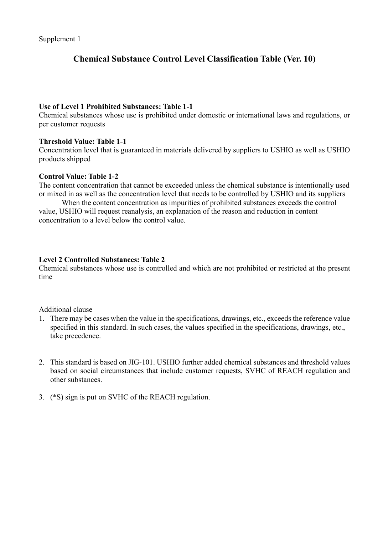# Chemical Substance Control Level Classification Table (Ver. 10)

#### Use of Level 1 Prohibited Substances: Table 1-1

Chemical substances whose use is prohibited under domestic or international laws and regulations, or per customer requests

#### Threshold Value: Table 1-1

Concentration level that is guaranteed in materials delivered by suppliers to USHIO as well as USHIO products shipped

#### Control Value: Table 1-2

The content concentration that cannot be exceeded unless the chemical substance is intentionally used or mixed in as well as the concentration level that needs to be controlled by USHIO and its suppliers

When the content concentration as impurities of prohibited substances exceeds the control value, USHIO will request reanalysis, an explanation of the reason and reduction in content concentration to a level below the control value.

#### Level 2 Controlled Substances: Table 2

Chemical substances whose use is controlled and which are not prohibited or restricted at the present time

Additional clause

- 1. There may be cases when the value in the specifications, drawings, etc., exceeds the reference value specified in this standard. In such cases, the values specified in the specifications, drawings, etc., take precedence.
- 2. This standard is based on JIG-101. USHIO further added chemical substances and threshold values based on social circumstances that include customer requests, SVHC of REACH regulation and other substances.
- 3. (\*S) sign is put on SVHC of the REACH regulation.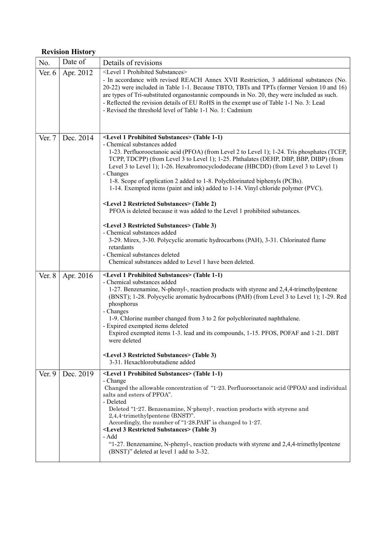## Revision History

| No.    | Date of   | Details of revisions                                                                                                                                                                                                                                                                                                                                                                                                                                                                                                                                                                                                                                                                                                                                                                                                                                                                                                                                                                                                |
|--------|-----------|---------------------------------------------------------------------------------------------------------------------------------------------------------------------------------------------------------------------------------------------------------------------------------------------------------------------------------------------------------------------------------------------------------------------------------------------------------------------------------------------------------------------------------------------------------------------------------------------------------------------------------------------------------------------------------------------------------------------------------------------------------------------------------------------------------------------------------------------------------------------------------------------------------------------------------------------------------------------------------------------------------------------|
| Ver. 6 | Apr. 2012 | <level 1="" prohibited="" substances=""><br/>- In accordance with revised REACH Annex XVII Restriction, 3 additional substances (No.<br/>20-22) were included in Table 1-1. Because TBTO, TBTs and TPTs (former Version 10 and 16)<br/>are types of Tri-substituted organostannic compounds in No. 20, they were included as such.<br/>- Reflected the revision details of EU RoHS in the exempt use of Table 1-1 No. 3: Lead<br/>- Revised the threshold level of Table 1-1 No. 1: Cadmium</level>                                                                                                                                                                                                                                                                                                                                                                                                                                                                                                                 |
| Ver. 7 | Dec. 2014 | <level 1="" prohibited="" substances=""> (Table 1-1)<br/>- Chemical substances added<br/>1-23. Perfluorooctanoic acid (PFOA) (from Level 2 to Level 1); 1-24. Tris phosphates (TCEP,<br/>TCPP, TDCPP) (from Level 3 to Level 1); 1-25. Phthalates (DEHP, DBP, BBP, DIBP) (from<br/>Level 3 to Level 1); 1-26. Hexabromocyclododecane (HBCDD) (from Level 3 to Level 1)<br/>- Changes<br/>1-8. Scope of application 2 added to 1-8. Polychlorinated biphenyls (PCBs).<br/>1-14. Exempted items (paint and ink) added to 1-14. Vinyl chloride polymer (PVC).<br/><level 2="" restricted="" substances=""> (Table 2)<br/>PFOA is deleted because it was added to the Level 1 prohibited substances.<br/><level 3="" restricted="" substances=""> (Table 3)<br/>- Chemical substances added<br/>3-29. Mirex, 3-30. Polycyclic aromatic hydrocarbons (PAH), 3-31. Chlorinated flame<br/>retardants<br/>- Chemical substances deleted<br/>Chemical substances added to Level 1 have been deleted.</level></level></level> |
| Ver. 8 | Apr. 2016 | <level 1="" prohibited="" substances=""> (Table 1-1)<br/>- Chemical substances added<br/>1-27. Benzenamine, N-phenyl-, reaction products with styrene and 2,4,4-trimethylpentene<br/>(BNST); 1-28. Polycyclic aromatic hydrocarbons (PAH) (from Level 3 to Level 1); 1-29. Red<br/>phosphorus<br/>- Changes<br/>1-9. Chlorine number changed from 3 to 2 for polychlorinated naphthalene.<br/>- Expired exempted items deleted<br/>Expired exempted items 1-3. lead and its compounds, 1-15. PFOS, POFAF and 1-21. DBT<br/>were deleted<br/><level 3="" restricted="" substances=""> (Table 3)<br/>3-31. Hexachlorobutadiene added</level></level>                                                                                                                                                                                                                                                                                                                                                                  |
| Ver. 9 | Dec. 2019 | <level 1="" prohibited="" substances=""> (Table 1-1)<br/>- Change<br/>Changed the allowable concentration of "1-23. Perfluorooctanoic acid (PFOA) and individual<br/>salts and esters of PFOA".<br/>- Deleted<br/>Deleted "1-27. Benzenamine, N-phenyl-, reaction products with styrene and<br/>2,4,4-trimethylpentene (BNST)".<br/>Accordingly, the number of "1-28.PAH" is changed to 1-27.<br/><level 3="" restricted="" substances=""> (Table 3)<br/>- Add<br/>"1-27. Benzenamine, N-phenyl-, reaction products with styrene and 2,4,4-trimethylpentene<br/>(BNST)" deleted at level 1 add to 3-32.</level></level>                                                                                                                                                                                                                                                                                                                                                                                             |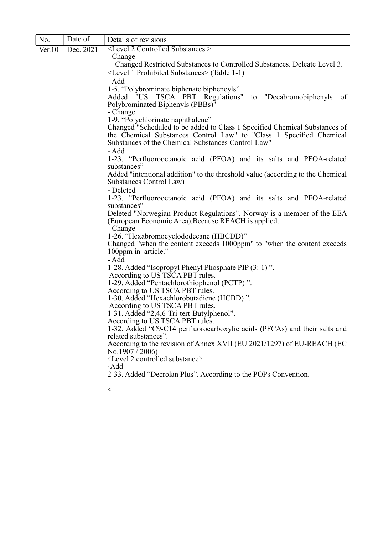| No.    | Date of   | Details of revisions                                                                                              |
|--------|-----------|-------------------------------------------------------------------------------------------------------------------|
| Ver.10 | Dec. 2021 | <level 2="" controlled="" substances=""></level>                                                                  |
|        |           | - Change<br>Changed Restricted Substances to Controlled Substances. Deleate Level 3.                              |
|        |           | <level 1="" prohibited="" substances=""> (Table 1-1)</level>                                                      |
|        |           | - Add                                                                                                             |
|        |           | 1-5. "Polybrominate biphenate bipheneyls"                                                                         |
|        |           | Added "US TSCA PBT Regulations" to "Decabromobiphenyls<br>of                                                      |
|        |           | Polybrominated Biphenyls (PBBs)"                                                                                  |
|        |           | - Change<br>1-9. "Polychlorinate naphthalene"                                                                     |
|        |           | Changed "Scheduled to be added to Class 1 Specified Chemical Substances of                                        |
|        |           | the Chemical Substances Control Law" to "Class 1 Specified Chemical                                               |
|        |           | Substances of the Chemical Substances Control Law"                                                                |
|        |           | - Add                                                                                                             |
|        |           | 1-23. "Perfluorooctanoic acid (PFOA) and its salts and PFOA-related<br>substances"                                |
|        |           | Added "intentional addition" to the threshold value (according to the Chemical                                    |
|        |           | Substances Control Law)                                                                                           |
|        |           | - Deleted                                                                                                         |
|        |           | 1-23. "Perfluorooctanoic acid (PFOA) and its salts and PFOA-related<br>substances"                                |
|        |           | Deleted "Norwegian Product Regulations". Norway is a member of the EEA                                            |
|        |           | (European Economic Area). Because REACH is applied.                                                               |
|        |           | - Change                                                                                                          |
|        |           | 1-26. "Hexabromocyclododecane (HBCDD)"<br>Changed "when the content exceeds 1000ppm" to "when the content exceeds |
|        |           | 100ppm in article."                                                                                               |
|        |           | - Add                                                                                                             |
|        |           | 1-28. Added "Isopropyl Phenyl Phosphate PIP (3: 1)".                                                              |
|        |           | According to US TSCA PBT rules.                                                                                   |
|        |           | 1-29. Added "Pentachlorothiophenol (PCTP)".<br>According to US TSCA PBT rules.                                    |
|        |           | 1-30. Added "Hexachlorobutadiene (HCBD)".                                                                         |
|        |           | According to US TSCA PBT rules.                                                                                   |
|        |           | 1-31. Added "2,4,6-Tri-tert-Butylphenol".                                                                         |
|        |           | According to US TSCA PBT rules.<br>1-32. Added "C9-C14 perfluorocarboxylic acids (PFCAs) and their salts and      |
|        |           | related substances".                                                                                              |
|        |           | According to the revision of Annex XVII (EU 2021/1297) of EU-REACH (EC                                            |
|        |           | No.1907 / 2006                                                                                                    |
|        |           | <level 2="" controlled="" substance=""><br/><math>\cdot</math>Add</level>                                         |
|        |           | 2-33. Added "Decrolan Plus". According to the POPs Convention.                                                    |
|        |           |                                                                                                                   |
|        |           | $\,<\,$                                                                                                           |
|        |           |                                                                                                                   |
|        |           |                                                                                                                   |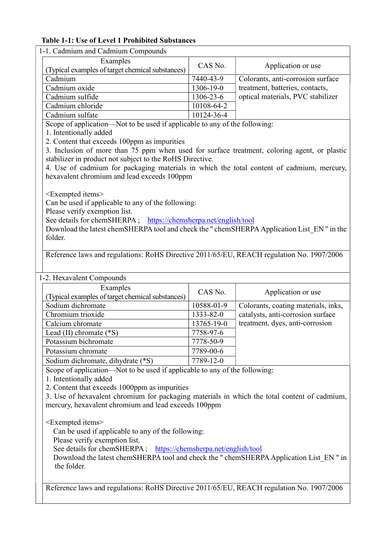## Table 1-1: Use of Level 1 Prohibited Substances

| 1-1. Cadmium and Cadmium Compounds                                                           |                             |                                     |  |  |
|----------------------------------------------------------------------------------------------|-----------------------------|-------------------------------------|--|--|
| Examples                                                                                     |                             |                                     |  |  |
| (Typical examples of target chemical substances)                                             | CAS No.                     | Application or use                  |  |  |
| Cadmium                                                                                      | 7440-43-9                   | Colorants, anti-corrosion surface   |  |  |
| Cadmium oxide                                                                                | 1306-19-0                   | treatment, batteries, contacts,     |  |  |
| Cadmium sulfide                                                                              | 1306-23-6                   | optical materials, PVC stabilizer   |  |  |
| Cadmium chloride                                                                             | 10108-64-2                  |                                     |  |  |
| Cadmium sulfate                                                                              | $\overline{10124} - 36 - 4$ |                                     |  |  |
| Scope of application—Not to be used if applicable to any of the following:                   |                             |                                     |  |  |
| 1. Intentionally added                                                                       |                             |                                     |  |  |
| 2. Content that exceeds 100ppm as impurities                                                 |                             |                                     |  |  |
| 3. Inclusion of more than 75 ppm when used for surface treatment, coloring agent, or plastic |                             |                                     |  |  |
| stabilizer in product not subject to the RoHS Directive.                                     |                             |                                     |  |  |
| 4. Use of cadmium for packaging materials in which the total content of cadmium, mercury,    |                             |                                     |  |  |
| hexavalent chromium and lead exceeds 100ppm                                                  |                             |                                     |  |  |
|                                                                                              |                             |                                     |  |  |
| <exempted items=""></exempted>                                                               |                             |                                     |  |  |
| Can be used if applicable to any of the following:                                           |                             |                                     |  |  |
| Please verify exemption list.                                                                |                             |                                     |  |  |
| See details for chemSHERPA ; https://chemsherpa.net/english/tool                             |                             |                                     |  |  |
| Download the latest chemSHERPA tool and check the " chemSHERPA Application List EN " in the  |                             |                                     |  |  |
| folder.                                                                                      |                             |                                     |  |  |
|                                                                                              |                             |                                     |  |  |
| Reference laws and regulations: RoHS Directive 2011/65/EU, REACH regulation No. 1907/2006    |                             |                                     |  |  |
|                                                                                              |                             |                                     |  |  |
| 1-2. Hexavalent Compounds                                                                    |                             |                                     |  |  |
| Examples                                                                                     |                             |                                     |  |  |
| (Typical examples of target chemical substances)                                             | CAS No.                     | Application or use                  |  |  |
| Sodium dichromate                                                                            | 10588-01-9                  | Colorants, coating materials, inks, |  |  |
| Chromium trioxide                                                                            | 1333-82-0                   | catalysts, anti-corrosion surface   |  |  |
| Calcium chromate                                                                             | 13765-19-0                  | treatment, dyes, anti-corrosion     |  |  |
| Lead (II) chromate (*S)                                                                      | 7758-97-6                   |                                     |  |  |
| Potassium bichromate                                                                         | 7778-50-9                   |                                     |  |  |
| Potassium chromate                                                                           | 7789-00-6                   |                                     |  |  |
| Sodium dichromate, dihydrate (*S)                                                            | 7789-12-0                   |                                     |  |  |
| Scope of application-Not to be used if applicable to any of the following:                   |                             |                                     |  |  |
| 1. Intentionally added                                                                       |                             |                                     |  |  |
| 2. Content that exceeds 1000ppm as impurities                                                |                             |                                     |  |  |
| 3. Use of hexavalent chromium for packaging materials in which the total content of cadmium, |                             |                                     |  |  |
| mercury, hexavalent chromium and lead exceeds 100ppm                                         |                             |                                     |  |  |
|                                                                                              |                             |                                     |  |  |
| $\leq$ Exempted items $>$                                                                    |                             |                                     |  |  |
| Can be used if applicable to any of the following:                                           |                             |                                     |  |  |
|                                                                                              |                             |                                     |  |  |

Please verify exemption list.

See details for chemSHERPA ; https://chemsherpa.net/english/tool

Download the latest chemSHERPA tool and check the '' chemSHERPA Application List\_EN '' in the folder.

Reference laws and regulations: RoHS Directive 2011/65/EU, REACH regulation No. 1907/2006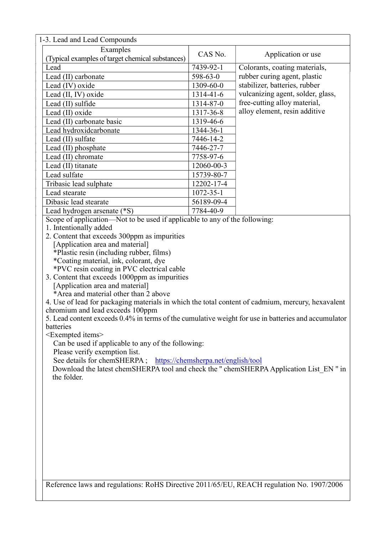| 1-3. Lead and Lead Compounds                                                                        |                        |                                   |  |  |
|-----------------------------------------------------------------------------------------------------|------------------------|-----------------------------------|--|--|
| Examples                                                                                            |                        |                                   |  |  |
| (Typical examples of target chemical substances)                                                    | CAS No.                | Application or use                |  |  |
| Lead                                                                                                | 7439-92-1              | Colorants, coating materials,     |  |  |
| Lead (II) carbonate                                                                                 | 598-63-0               | rubber curing agent, plastic      |  |  |
| Lead (IV) oxide                                                                                     | 1309-60-0              | stabilizer, batteries, rubber     |  |  |
| Lead (II, IV) oxide                                                                                 | 1314-41-6              | vulcanizing agent, solder, glass, |  |  |
| Lead (II) sulfide                                                                                   | 1314-87-0              | free-cutting alloy material,      |  |  |
| Lead (II) oxide                                                                                     | 1317-36-8              | alloy element, resin additive     |  |  |
| Lead (II) carbonate basic                                                                           | 1319-46-6              |                                   |  |  |
|                                                                                                     |                        |                                   |  |  |
| Lead hydroxidcarbonate<br>Lead (II) sulfate                                                         | 1344-36-1<br>7446-14-2 |                                   |  |  |
|                                                                                                     |                        |                                   |  |  |
| Lead (II) phosphate                                                                                 | 7446-27-7              |                                   |  |  |
| Lead (II) chromate                                                                                  | 7758-97-6              |                                   |  |  |
| Lead (II) titanate                                                                                  | 12060-00-3             |                                   |  |  |
| Lead sulfate                                                                                        | 15739-80-7             |                                   |  |  |
| Tribasic lead sulphate                                                                              | 12202-17-4             |                                   |  |  |
| Lead stearate                                                                                       | $1072 - 35 - 1$        |                                   |  |  |
| Dibasic lead stearate                                                                               | 56189-09-4             |                                   |  |  |
| Lead hydrogen arsenate (*S)                                                                         | 7784-40-9              |                                   |  |  |
| Scope of application—Not to be used if applicable to any of the following:                          |                        |                                   |  |  |
| 1. Intentionally added                                                                              |                        |                                   |  |  |
| 2. Content that exceeds 300ppm as impurities                                                        |                        |                                   |  |  |
| [Application area and material]                                                                     |                        |                                   |  |  |
| *Plastic resin (including rubber, films)                                                            |                        |                                   |  |  |
| *Coating material, ink, colorant, dye                                                               |                        |                                   |  |  |
| *PVC resin coating in PVC electrical cable                                                          |                        |                                   |  |  |
| 3. Content that exceeds 1000ppm as impurities                                                       |                        |                                   |  |  |
| [Application area and material]                                                                     |                        |                                   |  |  |
| *Area and material other than 2 above                                                               |                        |                                   |  |  |
| 4. Use of lead for packaging materials in which the total content of cadmium, mercury, hexavalent   |                        |                                   |  |  |
| chromium and lead exceeds 100ppm                                                                    |                        |                                   |  |  |
| 5. Lead content exceeds 0.4% in terms of the cumulative weight for use in batteries and accumulator |                        |                                   |  |  |
| batteries                                                                                           |                        |                                   |  |  |
| <exempted items=""></exempted>                                                                      |                        |                                   |  |  |
| Can be used if applicable to any of the following:                                                  |                        |                                   |  |  |
| Please verify exemption list.                                                                       |                        |                                   |  |  |
| See details for chemSHERPA; https://chemsherpa.net/english/tool                                     |                        |                                   |  |  |
| Download the latest chemSHERPA tool and check the " chemSHERPA Application List_EN " in             |                        |                                   |  |  |
| the folder.                                                                                         |                        |                                   |  |  |
|                                                                                                     |                        |                                   |  |  |
|                                                                                                     |                        |                                   |  |  |
|                                                                                                     |                        |                                   |  |  |
|                                                                                                     |                        |                                   |  |  |
|                                                                                                     |                        |                                   |  |  |
|                                                                                                     |                        |                                   |  |  |
|                                                                                                     |                        |                                   |  |  |
|                                                                                                     |                        |                                   |  |  |
|                                                                                                     |                        |                                   |  |  |
|                                                                                                     |                        |                                   |  |  |
|                                                                                                     |                        |                                   |  |  |
|                                                                                                     |                        |                                   |  |  |
| Reference laws and regulations: RoHS Directive 2011/65/EU, REACH regulation No. 1907/2006           |                        |                                   |  |  |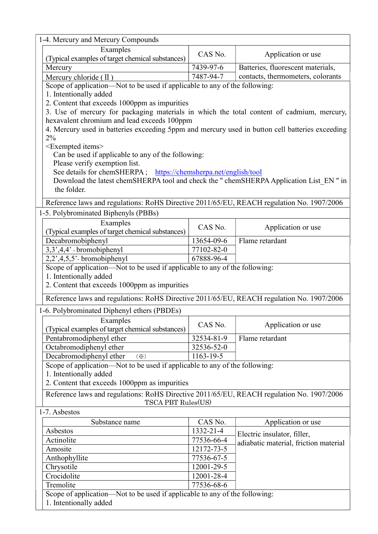| 1-4. Mercury and Mercury Compounds                                                                   |            |                                       |  |  |  |
|------------------------------------------------------------------------------------------------------|------------|---------------------------------------|--|--|--|
| Examples                                                                                             | CAS No.    |                                       |  |  |  |
| (Typical examples of target chemical substances)                                                     |            | Application or use                    |  |  |  |
| Mercury                                                                                              | 7439-97-6  | Batteries, fluorescent materials,     |  |  |  |
| Mercury chloride $(\Pi)$                                                                             | 7487-94-7  | contacts, thermometers, colorants     |  |  |  |
| Scope of application—Not to be used if applicable to any of the following:                           |            |                                       |  |  |  |
| 1. Intentionally added                                                                               |            |                                       |  |  |  |
| 2. Content that exceeds 1000ppm as impurities                                                        |            |                                       |  |  |  |
| 3. Use of mercury for packaging materials in which the total content of cadmium, mercury,            |            |                                       |  |  |  |
| hexavalent chromium and lead exceeds 100ppm                                                          |            |                                       |  |  |  |
| 4. Mercury used in batteries exceeding 5ppm and mercury used in button cell batteries exceeding      |            |                                       |  |  |  |
| $2\%$                                                                                                |            |                                       |  |  |  |
| $\leq$ Exempted items $>$<br>Can be used if applicable to any of the following:                      |            |                                       |  |  |  |
| Please verify exemption list.                                                                        |            |                                       |  |  |  |
| See details for chemSHERPA; https://chemsherpa.net/english/tool                                      |            |                                       |  |  |  |
| Download the latest chemSHERPA tool and check the " chemSHERPA Application List_EN " in              |            |                                       |  |  |  |
| the folder.                                                                                          |            |                                       |  |  |  |
| Reference laws and regulations: RoHS Directive 2011/65/EU, REACH regulation No. 1907/2006            |            |                                       |  |  |  |
| 1-5. Polybrominated Biphenyls (PBBs)                                                                 |            |                                       |  |  |  |
| Examples                                                                                             |            |                                       |  |  |  |
| (Typical examples of target chemical substances)                                                     | CAS No.    | Application or use                    |  |  |  |
| Decabromobiphenyl                                                                                    | 13654-09-6 | Flame retardant                       |  |  |  |
| 3,3',4,4' - bromobiphenyl                                                                            | 77102-82-0 |                                       |  |  |  |
| $2,2$ ', $4,5,5$ ' - bromobiphenyl                                                                   | 67888-96-4 |                                       |  |  |  |
| Scope of application—Not to be used if applicable to any of the following:                           |            |                                       |  |  |  |
| 1. Intentionally added                                                                               |            |                                       |  |  |  |
| 2. Content that exceeds 1000ppm as impurities                                                        |            |                                       |  |  |  |
| Reference laws and regulations: RoHS Directive 2011/65/EU, REACH regulation No. 1907/2006            |            |                                       |  |  |  |
| 1-6. Polybrominated Diphenyl ethers (PBDEs)                                                          |            |                                       |  |  |  |
| Examples                                                                                             |            |                                       |  |  |  |
| (Typical examples of target chemical substances)                                                     | CAS No.    | Application or use                    |  |  |  |
| Pentabromodiphenyl ether                                                                             | 32534-81-9 | Flame retardant                       |  |  |  |
| Octabromodiphenyl ether                                                                              | 32536-52-0 |                                       |  |  |  |
| Decabromodiphenyl ether<br>$(\cdot \times)$                                                          | 1163-19-5  |                                       |  |  |  |
| Scope of application—Not to be used if applicable to any of the following:                           |            |                                       |  |  |  |
| 1. Intentionally added                                                                               |            |                                       |  |  |  |
| 2. Content that exceeds 1000ppm as impurities                                                        |            |                                       |  |  |  |
| Reference laws and regulations: RoHS Directive 2011/65/EU, REACH regulation No. 1907/2006            |            |                                       |  |  |  |
| TSCA PBT Rules(US)                                                                                   |            |                                       |  |  |  |
| 1-7. Asbestos                                                                                        |            |                                       |  |  |  |
| Substance name                                                                                       | CAS No.    | Application or use                    |  |  |  |
| Asbestos                                                                                             | 1332-21-4  | Electric insulator, filler,           |  |  |  |
| Actinolite                                                                                           | 77536-66-4 | adiabatic material, friction material |  |  |  |
| Amosite                                                                                              | 12172-73-5 |                                       |  |  |  |
| Anthophyllite                                                                                        | 77536-67-5 |                                       |  |  |  |
| 12001-29-5<br>Chrysotile                                                                             |            |                                       |  |  |  |
| Crocidolite                                                                                          | 12001-28-4 |                                       |  |  |  |
| Tremolite                                                                                            | 77536-68-6 |                                       |  |  |  |
| Scope of application—Not to be used if applicable to any of the following:<br>1. Intentionally added |            |                                       |  |  |  |
|                                                                                                      |            |                                       |  |  |  |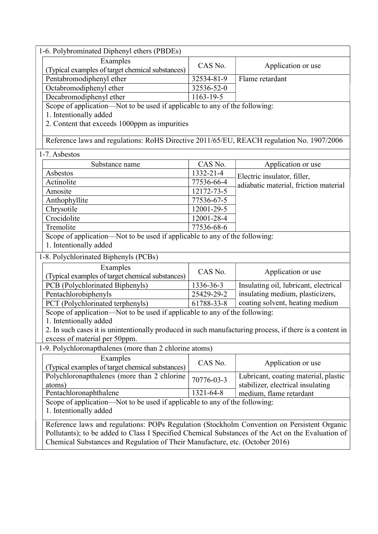| 1-6. Polybrominated Diphenyl ethers (PBDEs)                                                             |                 |                                       |  |
|---------------------------------------------------------------------------------------------------------|-----------------|---------------------------------------|--|
| Examples                                                                                                | CAS No.         |                                       |  |
| (Typical examples of target chemical substances)                                                        |                 | Application or use                    |  |
| Pentabromodiphenyl ether                                                                                | 32534-81-9      | Flame retardant                       |  |
| Octabromodiphenyl ether                                                                                 | 32536-52-0      |                                       |  |
| Decabromodiphenyl ether                                                                                 | $1163 - 19 - 5$ |                                       |  |
| Scope of application—Not to be used if applicable to any of the following:                              |                 |                                       |  |
| 1. Intentionally added                                                                                  |                 |                                       |  |
| 2. Content that exceeds 1000ppm as impurities                                                           |                 |                                       |  |
|                                                                                                         |                 |                                       |  |
| Reference laws and regulations: RoHS Directive 2011/65/EU, REACH regulation No. 1907/2006               |                 |                                       |  |
| 1-7. Asbestos                                                                                           |                 |                                       |  |
| Substance name                                                                                          | CAS No.         | Application or use                    |  |
| Asbestos                                                                                                | 1332-21-4       | Electric insulator, filler,           |  |
| Actinolite                                                                                              | 77536-66-4      | adiabatic material, friction material |  |
| Amosite                                                                                                 | 12172-73-5      |                                       |  |
| Anthophyllite                                                                                           | 77536-67-5      |                                       |  |
| Chrysotile                                                                                              | 12001-29-5      |                                       |  |
| Crocidolite                                                                                             | 12001-28-4      |                                       |  |
| Tremolite                                                                                               | 77536-68-6      |                                       |  |
| Scope of application—Not to be used if applicable to any of the following:                              |                 |                                       |  |
| 1. Intentionally added                                                                                  |                 |                                       |  |
| 1-8. Polychlorinated Biphenyls (PCBs)                                                                   |                 |                                       |  |
| Examples                                                                                                |                 |                                       |  |
| (Typical examples of target chemical substances)                                                        | CAS No.         | Application or use                    |  |
| PCB (Polychlorinated Biphenyls)                                                                         | 1336-36-3       | Insulating oil, lubricant, electrical |  |
| Pentachlorobiphenyls                                                                                    | 25429-29-2      | insulating medium, plasticizers,      |  |
| PCT (Polychlorinated terphenyls)                                                                        | 61788-33-8      | coating solvent, heating medium       |  |
| Scope of application—Not to be used if applicable to any of the following:                              |                 |                                       |  |
| 1. Intentionally added                                                                                  |                 |                                       |  |
| 2. In such cases it is unintentionally produced in such manufacturing process, if there is a content in |                 |                                       |  |
| excess of material per 50ppm.                                                                           |                 |                                       |  |
| 1-9. Polychloronapthalenes (more than 2 chlorine atoms)                                                 |                 |                                       |  |
| Examples                                                                                                | CAS No.         | Application or use                    |  |
| (Typical examples of target chemical substances)                                                        |                 |                                       |  |
| Polychloronapthalenes (more than 2 chlorine                                                             | 70776-03-3      | Lubricant, coating material, plastic  |  |
| atoms)                                                                                                  |                 | stabilizer, electrical insulating     |  |
| Pentachloronaphthalene                                                                                  | 1321-64-8       | medium, flame retardant               |  |
| Scope of application—Not to be used if applicable to any of the following:                              |                 |                                       |  |
| 1. Intentionally added                                                                                  |                 |                                       |  |
| Reference laws and regulations: POPs Regulation (Stockholm Convention on Persistent Organic             |                 |                                       |  |
| Pollutants); to be added to Class I Specified Chemical Substances of the Act on the Evaluation of       |                 |                                       |  |
| Chemical Substances and Regulation of Their Manufacture, etc. (October 2016)                            |                 |                                       |  |
|                                                                                                         |                 |                                       |  |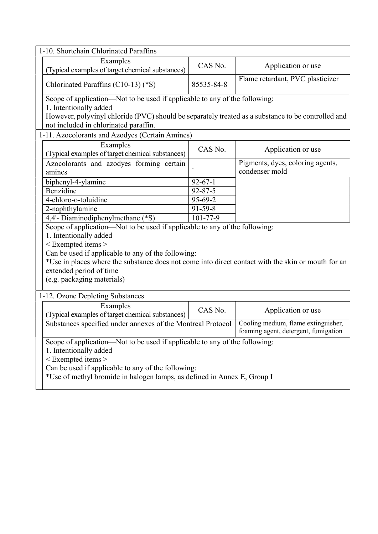| 1-10. Shortchain Chlorinated Paraffins                                                                                                                                |                |                                                                             |  |  |
|-----------------------------------------------------------------------------------------------------------------------------------------------------------------------|----------------|-----------------------------------------------------------------------------|--|--|
| Examples<br>(Typical examples of target chemical substances)                                                                                                          | CAS No.        | Application or use                                                          |  |  |
| Chlorinated Paraffins (C10-13) (*S)                                                                                                                                   | 85535-84-8     | Flame retardant, PVC plasticizer                                            |  |  |
| Scope of application—Not to be used if applicable to any of the following:                                                                                            |                |                                                                             |  |  |
| 1. Intentionally added<br>However, polyvinyl chloride (PVC) should be separately treated as a substance to be controlled and<br>not included in chlorinated paraffin. |                |                                                                             |  |  |
| 1-11. Azocolorants and Azodyes (Certain Amines)                                                                                                                       |                |                                                                             |  |  |
| Examples<br>(Typical examples of target chemical substances)                                                                                                          | CAS No.        | Application or use                                                          |  |  |
| Azocolorants and azodyes forming certain<br>amines                                                                                                                    |                | Pigments, dyes, coloring agents,<br>condenser mold                          |  |  |
| biphenyl-4-ylamine                                                                                                                                                    | $92 - 67 - 1$  |                                                                             |  |  |
| Benzidine                                                                                                                                                             | $92 - 87 - 5$  |                                                                             |  |  |
| 4-chloro-o-toluidine                                                                                                                                                  | 95-69-2        |                                                                             |  |  |
| 2-naphthylamine                                                                                                                                                       | $91-59-8$      |                                                                             |  |  |
| 4,4'- Diaminodiphenylmethane (*S)                                                                                                                                     | $101 - 77 - 9$ |                                                                             |  |  |
| Scope of application—Not to be used if applicable to any of the following:                                                                                            |                |                                                                             |  |  |
| 1. Intentionally added                                                                                                                                                |                |                                                                             |  |  |
| $<$ Exempted items $>$                                                                                                                                                |                |                                                                             |  |  |
| Can be used if applicable to any of the following:                                                                                                                    |                |                                                                             |  |  |
| *Use in places where the substance does not come into direct contact with the skin or mouth for an                                                                    |                |                                                                             |  |  |
| extended period of time                                                                                                                                               |                |                                                                             |  |  |
| (e.g. packaging materials)                                                                                                                                            |                |                                                                             |  |  |
| 1-12. Ozone Depleting Substances                                                                                                                                      |                |                                                                             |  |  |
| Examples<br>(Typical examples of target chemical substances)                                                                                                          | CAS No.        | Application or use                                                          |  |  |
| Substances specified under annexes of the Montreal Protocol                                                                                                           |                | Cooling medium, flame extinguisher,<br>foaming agent, detergent, fumigation |  |  |
| Scope of application—Not to be used if applicable to any of the following:                                                                                            |                |                                                                             |  |  |
| 1. Intentionally added                                                                                                                                                |                |                                                                             |  |  |
| < Exempted items >                                                                                                                                                    |                |                                                                             |  |  |
| Can be used if applicable to any of the following:                                                                                                                    |                |                                                                             |  |  |
| *Use of methyl bromide in halogen lamps, as defined in Annex E, Group I                                                                                               |                |                                                                             |  |  |
|                                                                                                                                                                       |                |                                                                             |  |  |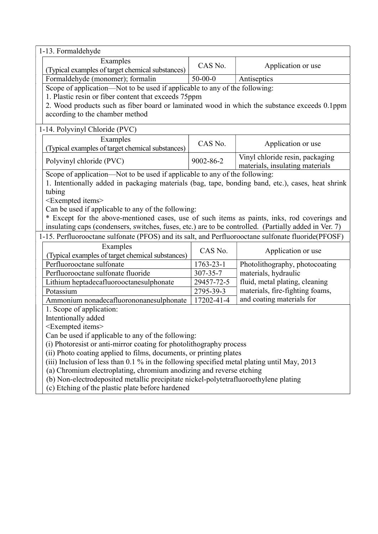| 1-13. Formaldehyde                                                                                                                       |                 |                                 |  |  |
|------------------------------------------------------------------------------------------------------------------------------------------|-----------------|---------------------------------|--|--|
| Examples                                                                                                                                 | CAS No.         | Application or use              |  |  |
| (Typical examples of target chemical substances)                                                                                         |                 |                                 |  |  |
| Formaldehyde (monomer); formalin                                                                                                         | $50 - 00 - 0$   | Antiseptics                     |  |  |
| Scope of application-Not to be used if applicable to any of the following:                                                               |                 |                                 |  |  |
| 1. Plastic resin or fiber content that exceeds 75ppm                                                                                     |                 |                                 |  |  |
| 2. Wood products such as fiber board or laminated wood in which the substance exceeds 0.1ppm                                             |                 |                                 |  |  |
| according to the chamber method                                                                                                          |                 |                                 |  |  |
| 1-14. Polyvinyl Chloride (PVC)                                                                                                           |                 |                                 |  |  |
| Examples                                                                                                                                 | CAS No.         | Application or use              |  |  |
| (Typical examples of target chemical substances)                                                                                         |                 |                                 |  |  |
| Polyvinyl chloride (PVC)                                                                                                                 | 9002-86-2       | Vinyl chloride resin, packaging |  |  |
|                                                                                                                                          |                 | materials, insulating materials |  |  |
| Scope of application-Not to be used if applicable to any of the following:                                                               |                 |                                 |  |  |
| 1. Intentionally added in packaging materials (bag, tape, bonding band, etc.), cases, heat shrink<br>tubing                              |                 |                                 |  |  |
| <exempted items=""></exempted>                                                                                                           |                 |                                 |  |  |
| Can be used if applicable to any of the following:                                                                                       |                 |                                 |  |  |
| * Except for the above-mentioned cases, use of such items as paints, inks, rod coverings and                                             |                 |                                 |  |  |
| insulating caps (condensers, switches, fuses, etc.) are to be controlled. (Partially added in Ver. 7)                                    |                 |                                 |  |  |
| 1-15. Perfluorooctane sulfonate (PFOS) and its salt, and Perfluorooctane sulfonate fluoride(PFOSF)                                       |                 |                                 |  |  |
| Examples                                                                                                                                 |                 |                                 |  |  |
| (Typical examples of target chemical substances)                                                                                         | CAS No.         | Application or use              |  |  |
| Perfluorooctane sulfonate                                                                                                                | $1763 - 23 - 1$ | Photolithography, photocoating  |  |  |
| Perfluorooctane sulfonate fluoride                                                                                                       | 307-35-7        | materials, hydraulic            |  |  |
| Lithium heptadecafluorooctanesulphonate                                                                                                  | 29457-72-5      | fluid, metal plating, cleaning  |  |  |
| Potassium                                                                                                                                | 2795-39-3       | materials, fire-fighting foams, |  |  |
| Ammonium nonadecafluorononanesulphonate                                                                                                  | 17202-41-4      | and coating materials for       |  |  |
| 1. Scope of application:                                                                                                                 |                 |                                 |  |  |
| Intentionally added                                                                                                                      |                 |                                 |  |  |
| <exempted items=""></exempted>                                                                                                           |                 |                                 |  |  |
| Can be used if applicable to any of the following:                                                                                       |                 |                                 |  |  |
| (i) Photoresist or anti-mirror coating for photolithography process                                                                      |                 |                                 |  |  |
| (ii) Photo coating applied to films, documents, or printing plates                                                                       |                 |                                 |  |  |
| (iii) Inclusion of less than 0.1 % in the following specified metal plating until May, 2013                                              |                 |                                 |  |  |
| (a) Chromium electroplating, chromium anodizing and reverse etching                                                                      |                 |                                 |  |  |
| (b) Non-electrodeposited metallic precipitate nickel-polytetrafluoroethylene plating<br>(c) Etching of the plastic plate before hardened |                 |                                 |  |  |
|                                                                                                                                          |                 |                                 |  |  |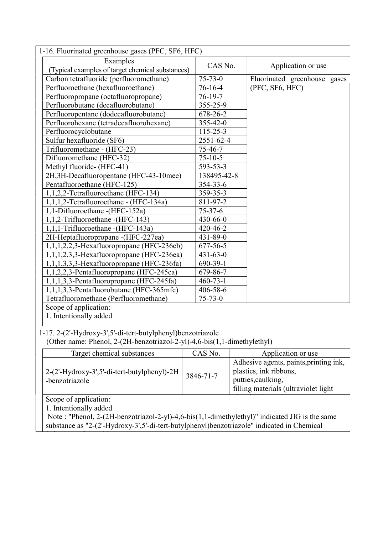| 1-16. Fluorinated greenhouse gases (PFC, SF6, HFC)                                            |                |                                        |  |  |
|-----------------------------------------------------------------------------------------------|----------------|----------------------------------------|--|--|
| Examples                                                                                      | CAS No.        |                                        |  |  |
| (Typical examples of target chemical substances)                                              |                | Application or use                     |  |  |
| Carbon tetrafluoride (perfluoromethane)                                                       | $75 - 73 - 0$  | Fluorinated greenhouse gases           |  |  |
| Perfluoroethane (hexafluoroethane)                                                            | $76 - 16 - 4$  | (PFC, SF6, HFC)                        |  |  |
| Perfluoropropane (octafluoropropane)                                                          | $76 - 19 - 7$  |                                        |  |  |
| Perfluorobutane (decafluorobutane)                                                            | 355-25-9       |                                        |  |  |
| Perfluoropentane (dodecafluorobutane)                                                         | 678-26-2       |                                        |  |  |
| Perfluorohexane (tetradecafluorohexane)                                                       | 355-42-0       |                                        |  |  |
| Perfluorocyclobutane                                                                          | $115 - 25 - 3$ |                                        |  |  |
| Sulfur hexafluoride (SF6)                                                                     | 2551-62-4      |                                        |  |  |
| Trifluoromethane - (HFC-23)                                                                   | 75-46-7        |                                        |  |  |
| Difluoromethane (HFC-32)                                                                      | $75 - 10 - 5$  |                                        |  |  |
| Methyl fluoride- (HFC-41)                                                                     | 593-53-3       |                                        |  |  |
| 2H, 3H-Decafluoropentane (HFC-43-10mee)                                                       | 138495-42-8    |                                        |  |  |
| Pentafluoroethane (HFC-125)                                                                   | 354-33-6       |                                        |  |  |
| 1,1,2,2-Tetrafluoroethane (HFC-134)                                                           | 359-35-3       |                                        |  |  |
| 1,1,1,2-Tetrafluoroethane - (HFC-134a)                                                        | 811-97-2       |                                        |  |  |
| 1,1-Difluoroethane - (HFC-152a)                                                               | $75 - 37 - 6$  |                                        |  |  |
| 1,1,2-Trifluoroethane - (HFC-143)                                                             | 430-66-0       |                                        |  |  |
| 1,1,1-Trifluoroethane - (HFC-143a)                                                            | 420-46-2       |                                        |  |  |
| 2H-Heptafluoropropane - (HFC-227ea)                                                           | $431 - 89 - 0$ |                                        |  |  |
| $1,1,1,2,2,3$ -Hexafluoropropane (HFC-236cb)                                                  | $677 - 56 - 5$ |                                        |  |  |
| $1,1,1,2,3,3$ -Hexafluoropropane (HFC-236ea)                                                  | $431 - 63 - 0$ |                                        |  |  |
| $1,1,1,3,3,3$ -Hexafluoropropane (HFC-236fa)                                                  | 690-39-1       |                                        |  |  |
| 1,1,2,2,3-Pentafluoropropane (HFC-245ca)                                                      | 679-86-7       |                                        |  |  |
| $1,1,1,3,3$ -Pentafluoropropane (HFC-245fa)                                                   | $460 - 73 - 1$ |                                        |  |  |
| 1,1,1,3,3-Pentafluorobutane (HFC-365mfc)                                                      | 406-58-6       |                                        |  |  |
| Tetrafluoromethane (Perfluoromethane)                                                         | $75 - 73 - 0$  |                                        |  |  |
| Scope of application:                                                                         |                |                                        |  |  |
| 1. Intentionally added                                                                        |                |                                        |  |  |
|                                                                                               |                |                                        |  |  |
| 1-17. 2-(2'-Hydroxy-3',5'-di-tert-butylphenyl)benzotriazole                                   |                |                                        |  |  |
| (Other name: Phenol, 2-(2H-benzotriazol-2-yl)-4,6-bis(1,1-dimethylethyl)                      |                |                                        |  |  |
| Target chemical substances                                                                    | CAS No.        | Application or use                     |  |  |
|                                                                                               |                | Adhesive agents, paints, printing ink, |  |  |
| 2-(2'-Hydroxy-3',5'-di-tert-butylphenyl)-2H                                                   |                | plastics, ink ribbons,                 |  |  |
| -benzotriazole                                                                                | 3846-71-7      | putties, caulking,                     |  |  |
|                                                                                               |                | filling materials (ultraviolet light   |  |  |
| Scope of application:                                                                         |                |                                        |  |  |
| 1. Intentionally added                                                                        |                |                                        |  |  |
| Note: "Phenol, 2-(2H-benzotriazol-2-yl)-4,6-bis(1,1-dimethylethyl)" indicated JIG is the same |                |                                        |  |  |
| substance as "2-(2'-Hydroxy-3',5'-di-tert-butylphenyl)benzotriazole" indicated in Chemical    |                |                                        |  |  |
|                                                                                               |                |                                        |  |  |

Substances Control Law.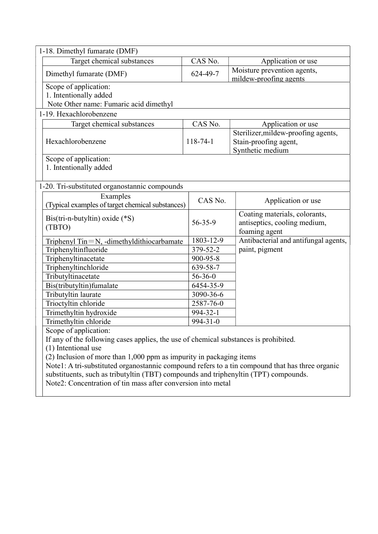|                                         | 1-18. Dimethyl fumarate (DMF)                                                                   |                |                                      |  |  |
|-----------------------------------------|-------------------------------------------------------------------------------------------------|----------------|--------------------------------------|--|--|
|                                         | Target chemical substances                                                                      | CAS No.        | Application or use                   |  |  |
|                                         | Dimethyl fumarate (DMF)                                                                         | 624-49-7       | Moisture prevention agents,          |  |  |
|                                         |                                                                                                 |                | mildew-proofing agents               |  |  |
|                                         | Scope of application:                                                                           |                |                                      |  |  |
|                                         | 1. Intentionally added                                                                          |                |                                      |  |  |
|                                         | Note Other name: Fumaric acid dimethyl                                                          |                |                                      |  |  |
|                                         | 1-19. Hexachlorobenzene                                                                         |                |                                      |  |  |
|                                         | Target chemical substances                                                                      | CAS No.        | Application or use                   |  |  |
|                                         |                                                                                                 |                | Sterilizer, mildew-proofing agents,  |  |  |
|                                         | Hexachlorobenzene                                                                               | $118 - 74 - 1$ | Stain-proofing agent,                |  |  |
|                                         |                                                                                                 |                | Synthetic medium                     |  |  |
|                                         | Scope of application:                                                                           |                |                                      |  |  |
|                                         | 1. Intentionally added                                                                          |                |                                      |  |  |
|                                         |                                                                                                 |                |                                      |  |  |
|                                         | 1-20. Tri-substituted organostannic compounds                                                   |                |                                      |  |  |
|                                         | Examples                                                                                        | CAS No.        | Application or use                   |  |  |
|                                         | (Typical examples of target chemical substances)                                                |                |                                      |  |  |
|                                         | $Bis (tri-n-butyltin)$ oxide $(*S)$                                                             |                | Coating materials, colorants,        |  |  |
|                                         | (TBTO)                                                                                          | 56-35-9        | antiseptics, cooling medium,         |  |  |
|                                         |                                                                                                 |                | foaming agent                        |  |  |
|                                         | Triphenyl Tin=N, -dimethyldithiocarbamate                                                       | 1803-12-9      | Antibacterial and antifungal agents, |  |  |
|                                         | Triphenyltinfluoride                                                                            | 379-52-2       | paint, pigment                       |  |  |
| Triphenyltinacetate<br>900-95-8         |                                                                                                 |                |                                      |  |  |
|                                         | Triphenyltinchloride                                                                            | 639-58-7       |                                      |  |  |
|                                         | Tributyltinacetate                                                                              | $56 - 36 - 0$  |                                      |  |  |
|                                         | Bis(tributyltin)fumalate                                                                        | 6454-35-9      |                                      |  |  |
|                                         | Tributyltin laurate                                                                             | 3090-36-6      |                                      |  |  |
| Trioctyltin chloride                    |                                                                                                 | 2587-76-0      |                                      |  |  |
|                                         | Trimethyltin hydroxide                                                                          | 994-32-1       |                                      |  |  |
| Trimethyltin chloride<br>$994 - 31 - 0$ |                                                                                                 |                |                                      |  |  |
|                                         | Scope of application:                                                                           |                |                                      |  |  |
|                                         | If any of the following cases applies, the use of chemical substances is prohibited.            |                |                                      |  |  |
|                                         | (1) Intentional use                                                                             |                |                                      |  |  |
|                                         | (2) Inclusion of more than 1,000 ppm as impurity in packaging items                             |                |                                      |  |  |
|                                         | Note1: A tri-substituted organostannic compound refers to a tin compound that has three organic |                |                                      |  |  |
|                                         | substituents, such as tributyltin (TBT) compounds and triphenyltin (TPT) compounds.             |                |                                      |  |  |
|                                         | Note2: Concentration of tin mass after conversion into metal                                    |                |                                      |  |  |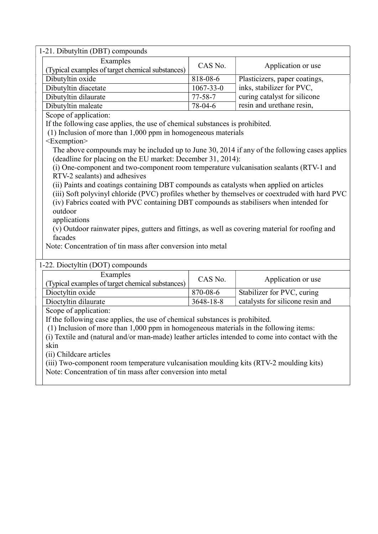| 1-21. Dibutyltin (DBT) compounds                                                                  |                                                                                                 |                                  |  |  |  |
|---------------------------------------------------------------------------------------------------|-------------------------------------------------------------------------------------------------|----------------------------------|--|--|--|
| Examples                                                                                          |                                                                                                 |                                  |  |  |  |
| (Typical examples of target chemical substances)                                                  | CAS No.                                                                                         | Application or use               |  |  |  |
| Dibutyltin oxide                                                                                  | 818-08-6                                                                                        | Plasticizers, paper coatings,    |  |  |  |
| Dibutyltin diacetate                                                                              | $1067 - 33 - 0$                                                                                 | inks, stabilizer for PVC,        |  |  |  |
| Dibutyltin dilaurate                                                                              | $77 - 58 - 7$                                                                                   | curing catalyst for silicone     |  |  |  |
| Dibutyltin maleate                                                                                | 78-04-6                                                                                         | resin and urethane resin,        |  |  |  |
| Scope of application:                                                                             |                                                                                                 |                                  |  |  |  |
| If the following case applies, the use of chemical substances is prohibited.                      |                                                                                                 |                                  |  |  |  |
| (1) Inclusion of more than 1,000 ppm in homogeneous materials                                     |                                                                                                 |                                  |  |  |  |
| <exemption></exemption>                                                                           |                                                                                                 |                                  |  |  |  |
| The above compounds may be included up to June 30, 2014 if any of the following cases applies     |                                                                                                 |                                  |  |  |  |
| (deadline for placing on the EU market: December 31, 2014):                                       |                                                                                                 |                                  |  |  |  |
| (i) One-component and two-component room temperature vulcanisation sealants (RTV-1 and            |                                                                                                 |                                  |  |  |  |
| RTV-2 sealants) and adhesives                                                                     |                                                                                                 |                                  |  |  |  |
| (ii) Paints and coatings containing DBT compounds as catalysts when applied on articles           |                                                                                                 |                                  |  |  |  |
| (iii) Soft polyvinyl chloride (PVC) profiles whether by themselves or coextruded with hard PVC    |                                                                                                 |                                  |  |  |  |
| (iv) Fabrics coated with PVC containing DBT compounds as stabilisers when intended for            |                                                                                                 |                                  |  |  |  |
| outdoor                                                                                           |                                                                                                 |                                  |  |  |  |
| applications                                                                                      |                                                                                                 |                                  |  |  |  |
|                                                                                                   | (v) Outdoor rainwater pipes, gutters and fittings, as well as covering material for roofing and |                                  |  |  |  |
| facades                                                                                           |                                                                                                 |                                  |  |  |  |
| Note: Concentration of tin mass after conversion into metal                                       |                                                                                                 |                                  |  |  |  |
|                                                                                                   |                                                                                                 |                                  |  |  |  |
| 1-22. Dioctyltin (DOT) compounds                                                                  |                                                                                                 |                                  |  |  |  |
| Examples                                                                                          | CAS No.                                                                                         | Application or use               |  |  |  |
| (Typical examples of target chemical substances)                                                  |                                                                                                 |                                  |  |  |  |
| Dioctyltin oxide                                                                                  | 870-08-6                                                                                        | Stabilizer for PVC, curing       |  |  |  |
| Dioctyltin dilaurate                                                                              | 3648-18-8                                                                                       | catalysts for silicone resin and |  |  |  |
| Scope of application:                                                                             |                                                                                                 |                                  |  |  |  |
| If the following case applies, the use of chemical substances is prohibited.                      |                                                                                                 |                                  |  |  |  |
| (1) Inclusion of more than 1,000 ppm in homogeneous materials in the following items:             |                                                                                                 |                                  |  |  |  |
| (i) Textile and (natural and/or man-made) leather articles intended to come into contact with the |                                                                                                 |                                  |  |  |  |
| skin                                                                                              |                                                                                                 |                                  |  |  |  |
| (ii) Childcare articles                                                                           |                                                                                                 |                                  |  |  |  |
| (iii) Two-component room temperature vulcanisation moulding kits (RTV-2 moulding kits)            |                                                                                                 |                                  |  |  |  |
|                                                                                                   | Note: Concentration of tin mass after conversion into metal                                     |                                  |  |  |  |
|                                                                                                   |                                                                                                 |                                  |  |  |  |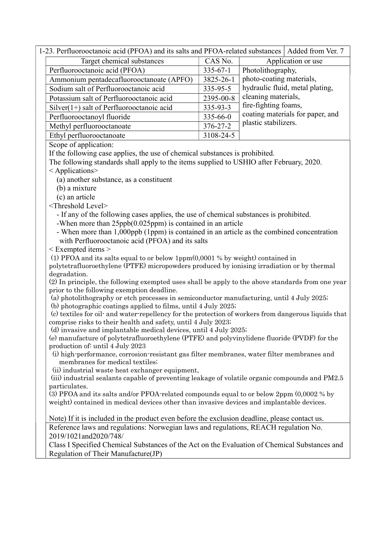| 1-23. Perfluorooctanoic acid (PFOA) and its salts and PFOA-related substances   Added from Ver. 7 |                |                                  |
|---------------------------------------------------------------------------------------------------|----------------|----------------------------------|
| Target chemical substances                                                                        | CAS No.        | Application or use               |
| Perfluorooctanoic acid (PFOA)                                                                     | $335 - 67 - 1$ | Photolithography,                |
| Ammonium pentadecafluorooctanoate (APFO)                                                          | 3825-26-1      | photo-coating materials,         |
| Sodium salt of Perfluorooctanoic acid                                                             | 335-95-5       | hydraulic fluid, metal plating,  |
| Potassium salt of Perfluorooctanoic acid                                                          | 2395-00-8      | cleaning materials,              |
| $Silver(1+)$ salt of Perfluorooctanoic acid                                                       | 335-93-3       | fire-fighting foams,             |
| Perfluorooctanoyl fluoride                                                                        | $335 - 66 - 0$ | coating materials for paper, and |
| Methyl perfluorooctanoate                                                                         | $376 - 27 - 2$ | plastic stabilizers.             |
| Ethyl perfluorooctanoate                                                                          | 3108-24-5      |                                  |

Scope of application:

If the following case applies, the use of chemical substances is prohibited.

The following standards shall apply to the items supplied to USHIO after February, 2020.

< Applications>

(a) another substance, as a constituent

(b) a mixture

(c) an article

<Threshold Level>

- If any of the following cases applies, the use of chemical substances is prohibited.

-When more than 25ppb(0.025ppm) is contained in an article

- When more than 1,000ppb (1ppm) is contained in an article as the combined concentration with Perfluorooctanoic acid (PFOA) and its salts

< Exempted items >

(1) PFOA and its salts equal to or below 1ppm(0,0001 % by weight) contained in

polytetrafluoroethylene (PTFE) micropowders produced by ionising irradiation or by thermal degradation.

(2) In principle, the following exempted uses shall be apply to the above standards from one year prior to the following exemption deadline.

(a) photolithography or etch processes in semiconductor manufacturing, until 4 July 2025;

(b) photographic coatings applied to films, until 4 July 2025;

 (c) textiles for oil- and water-repellency for the protection of workers from dangerous liquids that comprise risks to their health and safety, until 4 July 2023;

(d) invasive and implantable medical devices, until 4 July 2025;

(e) manufacture of polytetrafluoroethylene (PTFE) and polyvinylidene fluoride (PVDF) for the production of: until 4 July 2023

(i) high-performance, corrosion-resistant gas filter membranes, water filter membranes and membranes for medical textiles;

(ii) industrial waste heat exchanger equipment,

 (iii) industrial sealants capable of preventing leakage of volatile organic compounds and PM2.5 particulates.

(3) PFOA and its salts and/or PFOA-related compounds equal to or below 2ppm (0,0002 % by weight) contained in medical devices other than invasive devices and implantable devices.

Note) If it is included in the product even before the exclusion deadline, please contact us. Reference laws and regulations: Norwegian laws and regulations, REACH regulation No. 2019/1021and2020/748/

Class I Specified Chemical Substances of the Act on the Evaluation of Chemical Substances and Regulation of Their Manufacture(JP)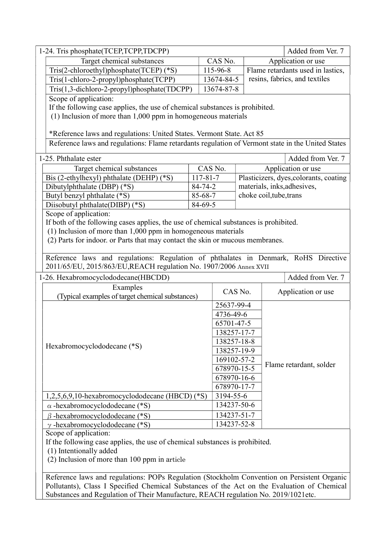(2) Inclusion of more than 100 ppm in article

Reference laws and regulations: POPs Regulation (Stockholm Convention on Persistent Organic Pollutants), Class I Specified Chemical Substances of the Act on the Evaluation of Chemical Substances and Regulation of Their Manufacture, REACH regulation No. 2019/1021etc.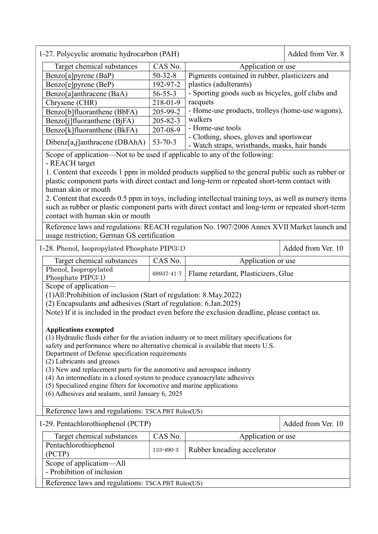| Added from Ver. 8<br>1-27. Polycyclic aromatic hydrocarbon (PAH)                                                                                   |                                                                 |                                                   |                    |  |  |
|----------------------------------------------------------------------------------------------------------------------------------------------------|-----------------------------------------------------------------|---------------------------------------------------|--------------------|--|--|
| CAS No.<br>Target chemical substances<br>Application or use                                                                                        |                                                                 |                                                   |                    |  |  |
| Benzo[a]pyrene (BaP)                                                                                                                               | Pigments contained in rubber, plasticizers and<br>$50 - 32 - 8$ |                                                   |                    |  |  |
| Benzo[e]pyrene (BeP)                                                                                                                               | 192-97-2                                                        | plastics (adulterants)                            |                    |  |  |
| Benzo[a]anthracene (BaA)                                                                                                                           | $56 - 55 - 3$                                                   | - Sporting goods such as bicycles, golf clubs and |                    |  |  |
| Chrysene (CHR)                                                                                                                                     | racquets<br>218-01-9                                            |                                                   |                    |  |  |
| Benzo[b]fluoranthene (BbFA)                                                                                                                        | 205-99-2                                                        | - Home-use products, trolleys (home-use wagons),  |                    |  |  |
| Benzo[j]fluoranthene (BjFA)                                                                                                                        | walkers<br>$205 - 82 - 3$                                       |                                                   |                    |  |  |
| Benzo[k]fluoranthene (BkFA)                                                                                                                        | 207-08-9                                                        | - Home-use tools                                  |                    |  |  |
|                                                                                                                                                    |                                                                 | - Clothing, shoes, gloves and sportswear          |                    |  |  |
| Dibenz[a,j]anthracene (DBAhA)                                                                                                                      | $53 - 70 - 3$                                                   | - Watch straps, wristbands, masks, hair bands     |                    |  |  |
| Scope of application—Not to be used if applicable to any of the following:<br>- REACH target                                                       |                                                                 |                                                   |                    |  |  |
| 1. Content that exceeds 1 ppm in molded products supplied to the general public such as rubber or                                                  |                                                                 |                                                   |                    |  |  |
| plastic component parts with direct contact and long-term or repeated short-term contact with                                                      |                                                                 |                                                   |                    |  |  |
| human skin or mouth                                                                                                                                |                                                                 |                                                   |                    |  |  |
| 2. Content that exceeds 0.5 ppm in toys, including intellectual training toys, as well as nursery items                                            |                                                                 |                                                   |                    |  |  |
| such as rubber or plastic component parts with direct contact and long-term or repeated short-term                                                 |                                                                 |                                                   |                    |  |  |
| contact with human skin or mouth                                                                                                                   |                                                                 |                                                   |                    |  |  |
|                                                                                                                                                    |                                                                 |                                                   |                    |  |  |
| Reference laws and regulations: REACH regulation No. 1907/2006 Annex XVII Market launch and                                                        |                                                                 |                                                   |                    |  |  |
| usage restriction; German GS certification                                                                                                         |                                                                 |                                                   |                    |  |  |
| 1-28. Phenol, Isopropylated Phosphate PIP(3:1)                                                                                                     |                                                                 |                                                   | Added from Ver. 10 |  |  |
| CAS No.<br>Target chemical substances<br>Application or use                                                                                        |                                                                 |                                                   |                    |  |  |
| Phenol, Isopropylated<br>Phosphate $PIP(3:1)$                                                                                                      | 68937-41-7                                                      | Flame retardant, Plasticizers, Glue               |                    |  |  |
| Scope of application-                                                                                                                              |                                                                 |                                                   |                    |  |  |
| (1) All: Prohibition of inclusion (Start of regulation: 8. May. 2022)                                                                              |                                                                 |                                                   |                    |  |  |
| (2) Encapsulants and adhesives (Start of regulation: 6.Jan.2025)                                                                                   |                                                                 |                                                   |                    |  |  |
| Note) If it is included in the product even before the exclusion deadline, please contact us.                                                      |                                                                 |                                                   |                    |  |  |
|                                                                                                                                                    |                                                                 |                                                   |                    |  |  |
| <b>Applications exempted</b>                                                                                                                       |                                                                 |                                                   |                    |  |  |
| (1) Hydraulic fluids either for the aviation industry or to meet military specifications for                                                       |                                                                 |                                                   |                    |  |  |
| safety and performance where no alternative chemical is available that meets U.S.                                                                  |                                                                 |                                                   |                    |  |  |
| Department of Defense specification requirements                                                                                                   |                                                                 |                                                   |                    |  |  |
| (2) Lubricants and greases                                                                                                                         |                                                                 |                                                   |                    |  |  |
| (3) New and replacement parts for the automotive and aerospace industry                                                                            |                                                                 |                                                   |                    |  |  |
| (4) An intermediate in a closed system to produce cyanoacrylate adhesives<br>(5) Specialized engine filters for locomotive and marine applications |                                                                 |                                                   |                    |  |  |
| (6) Adhesives and sealants, until January 6, 2025                                                                                                  |                                                                 |                                                   |                    |  |  |
|                                                                                                                                                    |                                                                 |                                                   |                    |  |  |
| Reference laws and regulations: TSCA PBT Rules(US)                                                                                                 |                                                                 |                                                   |                    |  |  |
| Added from Ver. 10<br>1-29. Pentachlorothiophenol (PCTP)                                                                                           |                                                                 |                                                   |                    |  |  |
| CAS No.<br>Target chemical substances<br>Application or use                                                                                        |                                                                 |                                                   |                    |  |  |
| Pentachlorothiophenol<br>Rubber kneading accelerator<br>133-490-3                                                                                  |                                                                 |                                                   |                    |  |  |
| (PCTP)                                                                                                                                             |                                                                 |                                                   |                    |  |  |
| Scope of application-All<br>- Prohibition of inclusion                                                                                             |                                                                 |                                                   |                    |  |  |
| Reference laws and regulations: TSCA PBT Rules(US)                                                                                                 |                                                                 |                                                   |                    |  |  |
|                                                                                                                                                    |                                                                 |                                                   |                    |  |  |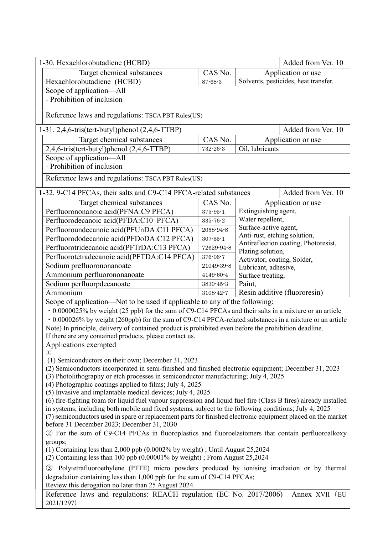| 1-30. Hexachlorobutadiene (HCBD)                                                                                                                                     | Added from Ver. 10                                                                                |                                                  |                                      |  |  |
|----------------------------------------------------------------------------------------------------------------------------------------------------------------------|---------------------------------------------------------------------------------------------------|--------------------------------------------------|--------------------------------------|--|--|
| CAS No.<br>Target chemical substances                                                                                                                                |                                                                                                   | Application or use                               |                                      |  |  |
| Hexachlorobutadiene (HCBD)                                                                                                                                           | $87 - 68 - 3$                                                                                     |                                                  | Solvents, pesticides, heat transfer. |  |  |
| Scope of application-All                                                                                                                                             |                                                                                                   |                                                  |                                      |  |  |
| - Prohibition of inclusion                                                                                                                                           |                                                                                                   |                                                  |                                      |  |  |
|                                                                                                                                                                      |                                                                                                   |                                                  |                                      |  |  |
| Reference laws and regulations: TSCA PBT Rules(US)                                                                                                                   |                                                                                                   |                                                  |                                      |  |  |
| 1-31. 2,4,6-tris(tert-butyl)phenol (2,4,6-TTBP)                                                                                                                      |                                                                                                   |                                                  | Added from Ver. 10                   |  |  |
| Target chemical substances                                                                                                                                           | CAS No.                                                                                           |                                                  | Application or use                   |  |  |
| 2,4,6-tris(tert-butyl)phenol (2,4,6-TTBP)                                                                                                                            | 732-26-3                                                                                          | Oil, lubricants                                  |                                      |  |  |
| Scope of application—All                                                                                                                                             |                                                                                                   |                                                  |                                      |  |  |
| - Prohibition of inclusion                                                                                                                                           |                                                                                                   |                                                  |                                      |  |  |
| Reference laws and regulations: TSCA PBT Rules(US)                                                                                                                   |                                                                                                   |                                                  |                                      |  |  |
| 1-32. 9-C14 PFCAs, their salts and C9-C14 PFCA-related substances                                                                                                    |                                                                                                   |                                                  | Added from Ver. 10                   |  |  |
| Target chemical substances                                                                                                                                           | CAS No.                                                                                           |                                                  | Application or use                   |  |  |
| Perfluorononanoic acid(PFNA:C9 PFCA)                                                                                                                                 | $375 - 95 - 1$                                                                                    | Extinguishing agent,                             |                                      |  |  |
| Perfluorodecanoic acid(PFDA:C10 PFCA)                                                                                                                                | $335 - 76 - 2$                                                                                    | Water repellent,                                 |                                      |  |  |
| Perfluoroundecanoic acid(PFUnDA:C11 PFCA)                                                                                                                            | 2058-94-8                                                                                         | Surface-active agent,                            |                                      |  |  |
| Perfluorododecanoic acid(PFDoDA:C12 PFCA)                                                                                                                            | $307 - 55 - 1$                                                                                    | Anti-rust, etching solution,                     |                                      |  |  |
| Perfluorotridecanoic acid(PFTrDA:C13 PFCA)                                                                                                                           | 72629-94-8                                                                                        |                                                  | Antireflection coating, Photoresist, |  |  |
| Perfluorotetradecanoic acid(PFTDA:C14 PFCA)                                                                                                                          | 376-06-7                                                                                          | Plating solution,<br>Activator, coating, Solder, |                                      |  |  |
| Sodium prefluorononanoate                                                                                                                                            | 21049-39-8                                                                                        | Lubricant, adhesive,                             |                                      |  |  |
| Ammonium perfluorononanoate                                                                                                                                          | 4149-60-4                                                                                         | Surface treating,                                |                                      |  |  |
| Sodium perfluorpdecanoate                                                                                                                                            | $3830 - 45 - 3$                                                                                   | Paint,                                           |                                      |  |  |
| Ammonium                                                                                                                                                             | 3108-42-7                                                                                         |                                                  | Resin additive (fluororesin)         |  |  |
| Scope of application—Not to be used if applicable to any of the following:                                                                                           |                                                                                                   |                                                  |                                      |  |  |
| . 0.0000025% by weight (25 ppb) for the sum of C9-C14 PFCAs and their salts in a mixture or an article                                                               |                                                                                                   |                                                  |                                      |  |  |
| · 0.000026% by weight (260ppb) for the sum of C9-C14 PFCA-related substances in a mixture or an article                                                              |                                                                                                   |                                                  |                                      |  |  |
| Note) In principle, delivery of contained product is prohibited even before the prohibition deadline.                                                                |                                                                                                   |                                                  |                                      |  |  |
| If there are any contained products, please contact us.                                                                                                              |                                                                                                   |                                                  |                                      |  |  |
| Applications exempted                                                                                                                                                |                                                                                                   |                                                  |                                      |  |  |
| $\left(1\right)$<br>(1) Semiconductors on their own; December 31, 2023                                                                                               |                                                                                                   |                                                  |                                      |  |  |
| (2) Semiconductors incorporated in semi-finished and finished electronic equipment; December 31, 2023                                                                |                                                                                                   |                                                  |                                      |  |  |
| (3) Photolithography or etch processes in semiconductor manufacturing; July 4, 2025                                                                                  |                                                                                                   |                                                  |                                      |  |  |
| (4) Photographic coatings applied to films; July 4, 2025                                                                                                             |                                                                                                   |                                                  |                                      |  |  |
| (5) Invasive and implantable medical devices; July 4, 2025                                                                                                           |                                                                                                   |                                                  |                                      |  |  |
| (6) fire-fighting foam for liquid fuel vapour suppression and liquid fuel fire (Class B fires) already installed                                                     |                                                                                                   |                                                  |                                      |  |  |
| in systems, including both mobile and fixed systems, subject to the following conditions; July 4, 2025                                                               |                                                                                                   |                                                  |                                      |  |  |
| (7) semiconductors used in spare or replacement parts for finished electronic equipment placed on the market<br>before 31 December 2023; December 31, 2030           |                                                                                                   |                                                  |                                      |  |  |
|                                                                                                                                                                      | 2 For the sum of C9-C14 PFCAs in fluoroplastics and fluoroelastomers that contain perfluoroalkoxy |                                                  |                                      |  |  |
| groups;                                                                                                                                                              |                                                                                                   |                                                  |                                      |  |  |
| $(1)$ Containing less than 2,000 ppb $(0.0002\%$ by weight); Until August 25,2024<br>$(2)$ Containing less than 100 ppb $(0.00001\%$ by weight); From August 25,2024 |                                                                                                   |                                                  |                                      |  |  |
| Polytetrafluoroethylene (PTFE) micro powders produced by ionising irradiation or by thermal<br>$\circled{3}$                                                         |                                                                                                   |                                                  |                                      |  |  |
| degradation containing less than 1,000 ppb for the sum of C9-C14 PFCAs;<br>Review this derogation no later than 25 August 2024.                                      |                                                                                                   |                                                  |                                      |  |  |
| Reference laws and regulations: REACH regulation (EC No. 2017/2006)                                                                                                  |                                                                                                   |                                                  | Annex XVII (EU                       |  |  |
| 2021/1297)                                                                                                                                                           |                                                                                                   |                                                  |                                      |  |  |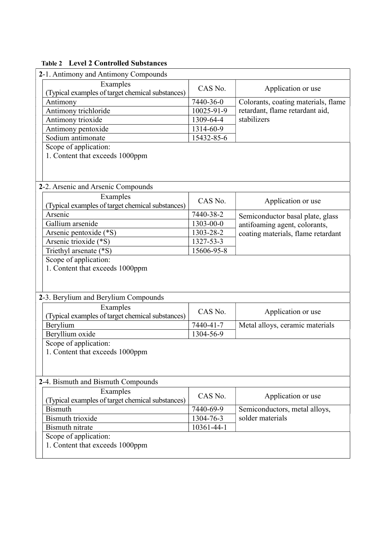### Table 2 Level 2 Controlled Substances

| 2-1. Antimony and Antimony Compounds             |            |                                                   |  |  |  |
|--------------------------------------------------|------------|---------------------------------------------------|--|--|--|
| Examples                                         |            |                                                   |  |  |  |
| (Typical examples of target chemical substances) | CAS No.    | Application or use                                |  |  |  |
| Antimony                                         | 7440-36-0  | Colorants, coating materials, flame               |  |  |  |
| Antimony trichloride                             | 10025-91-9 | retardant, flame retardant aid,                   |  |  |  |
| Antimony trioxide                                | 1309-64-4  | stabilizers                                       |  |  |  |
| Antimony pentoxide                               | 1314-60-9  |                                                   |  |  |  |
| Sodium antimonate                                | 15432-85-6 |                                                   |  |  |  |
| Scope of application:                            |            |                                                   |  |  |  |
| 1. Content that exceeds 1000ppm                  |            |                                                   |  |  |  |
|                                                  |            |                                                   |  |  |  |
|                                                  |            |                                                   |  |  |  |
| 2-2. Arsenic and Arsenic Compounds               |            |                                                   |  |  |  |
| Examples                                         |            |                                                   |  |  |  |
| (Typical examples of target chemical substances) | CAS No.    | Application or use                                |  |  |  |
| Arsenic                                          | 7440-38-2  | Semiconductor basal plate, glass                  |  |  |  |
| Gallium arsenide                                 | 1303-00-0  | antifoaming agent, colorants,                     |  |  |  |
| Arsenic pentoxide (*S)                           | 1303-28-2  | coating materials, flame retardant                |  |  |  |
| Arsenic trioxide (*S)                            | 1327-53-3  |                                                   |  |  |  |
| Triethyl arsenate (*S)                           | 15606-95-8 |                                                   |  |  |  |
| Scope of application:                            |            |                                                   |  |  |  |
| 1. Content that exceeds 1000ppm                  |            |                                                   |  |  |  |
|                                                  |            |                                                   |  |  |  |
|                                                  |            |                                                   |  |  |  |
| 2-3. Berylium and Berylium Compounds             |            |                                                   |  |  |  |
| Examples                                         |            |                                                   |  |  |  |
| (Typical examples of target chemical substances) | CAS No.    | Application or use                                |  |  |  |
| Berylium                                         | 7440-41-7  | Metal alloys, ceramic materials                   |  |  |  |
| Beryllium oxide                                  | 1304-56-9  |                                                   |  |  |  |
| Scope of application:                            |            |                                                   |  |  |  |
| 1. Content that exceeds 1000ppm                  |            |                                                   |  |  |  |
|                                                  |            |                                                   |  |  |  |
|                                                  |            |                                                   |  |  |  |
| 2-4. Bismuth and Bismuth Compounds               |            |                                                   |  |  |  |
| Examples                                         |            |                                                   |  |  |  |
| (Typical examples of target chemical substances) | CAS No.    | Application or use                                |  |  |  |
| <b>Bismuth</b>                                   | 7440-69-9  |                                                   |  |  |  |
| <b>Bismuth</b> trioxide                          | 1304-76-3  | Semiconductors, metal alloys,<br>solder materials |  |  |  |
| <b>Bismuth</b> nitrate                           | 10361-44-1 |                                                   |  |  |  |
|                                                  |            |                                                   |  |  |  |
| Scope of application:                            |            |                                                   |  |  |  |
| 1. Content that exceeds 1000ppm                  |            |                                                   |  |  |  |
|                                                  |            |                                                   |  |  |  |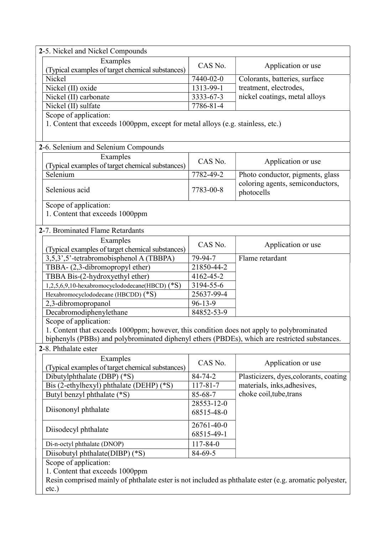| 2-5. Nickel and Nickel Compounds                                                                       |                 |                                        |  |  |
|--------------------------------------------------------------------------------------------------------|-----------------|----------------------------------------|--|--|
| Examples                                                                                               |                 |                                        |  |  |
| (Typical examples of target chemical substances)                                                       | CAS No.         | Application or use                     |  |  |
| Nickel                                                                                                 | 7440-02-0       | Colorants, batteries, surface          |  |  |
| Nickel (II) oxide                                                                                      | 1313-99-1       | treatment, electrodes,                 |  |  |
| Nickel (II) carbonate                                                                                  | 3333-67-3       | nickel coatings, metal alloys          |  |  |
| Nickel (II) sulfate                                                                                    | $7786 - 81 - 4$ |                                        |  |  |
| Scope of application:                                                                                  |                 |                                        |  |  |
| 1. Content that exceeds 1000ppm, except for metal alloys (e.g. stainless, etc.)                        |                 |                                        |  |  |
|                                                                                                        |                 |                                        |  |  |
|                                                                                                        |                 |                                        |  |  |
| 2-6. Selenium and Selenium Compounds                                                                   |                 |                                        |  |  |
| Examples                                                                                               | CAS No.         | Application or use                     |  |  |
| (Typical examples of target chemical substances)                                                       |                 |                                        |  |  |
| Selenium                                                                                               | 7782-49-2       | Photo conductor, pigments, glass       |  |  |
| Selenious acid                                                                                         | 7783-00-8       | coloring agents, semiconductors,       |  |  |
|                                                                                                        |                 | photocells                             |  |  |
| Scope of application:                                                                                  |                 |                                        |  |  |
| 1. Content that exceeds 1000ppm                                                                        |                 |                                        |  |  |
|                                                                                                        |                 |                                        |  |  |
| 2-7. Brominated Flame Retardants                                                                       |                 |                                        |  |  |
| Examples                                                                                               |                 |                                        |  |  |
| (Typical examples of target chemical substances)                                                       | CAS No.         | Application or use                     |  |  |
| 3,5,3',5'-tetrabromobisphenol A (TBBPA)                                                                | 79-94-7         | Flame retardant                        |  |  |
| TBBA- (2,3-dibromopropyl ether)                                                                        | 21850-44-2      |                                        |  |  |
| TBBA Bis-(2-hydroxyethyl ether)                                                                        | 4162-45-2       |                                        |  |  |
| 1,2,5,6,9,10-hexabromocyclododecane(HBCD) (*S)                                                         | 3194-55-6       |                                        |  |  |
| Hexabromocyclododecane (HBCDD) (*S)                                                                    | 25637-99-4      |                                        |  |  |
| 2,3-dibromopropanol                                                                                    | $96 - 13 - 9$   |                                        |  |  |
| Decabromodiphenylethane                                                                                | 84852-53-9      |                                        |  |  |
| Scope of application:                                                                                  |                 |                                        |  |  |
| 1. Content that exceeds 1000ppm; however, this condition does not apply to polybrominated              |                 |                                        |  |  |
| biphenyls (PBBs) and polybrominated diphenyl ethers (PBDEs), which are restricted substances.          |                 |                                        |  |  |
| 2-8. Phthalate ester                                                                                   |                 |                                        |  |  |
| Examples                                                                                               |                 |                                        |  |  |
| (Typical examples of target chemical substances)                                                       | CAS No.         | Application or use                     |  |  |
| Dibutylphthalate (DBP) (*S)                                                                            | 84-74-2         | Plasticizers, dyes, colorants, coating |  |  |
| Bis (2-ethylhexyl) phthalate (DEHP) (*S)                                                               | $117 - 81 - 7$  | materials, inks, adhesives,            |  |  |
| Butyl benzyl phthalate (*S)                                                                            | 85-68-7         | choke coil, tube, trans                |  |  |
|                                                                                                        | 28553-12-0      |                                        |  |  |
| Diisononyl phthalate                                                                                   | 68515-48-0      |                                        |  |  |
|                                                                                                        |                 |                                        |  |  |
| Diisodecyl phthalate                                                                                   | 26761-40-0      |                                        |  |  |
|                                                                                                        | 68515-49-1      |                                        |  |  |
| Di-n-octyl phthalate (DNOP)                                                                            | $117 - 84 - 0$  |                                        |  |  |
| Diisobutyl phthalate(DIBP) (*S)                                                                        | 84-69-5         |                                        |  |  |
| Scope of application:                                                                                  |                 |                                        |  |  |
| 1. Content that exceeds 1000ppm                                                                        |                 |                                        |  |  |
| Resin comprised mainly of phthalate ester is not included as phthalate ester (e.g. aromatic polyester, |                 |                                        |  |  |
| $etc.$ )                                                                                               |                 |                                        |  |  |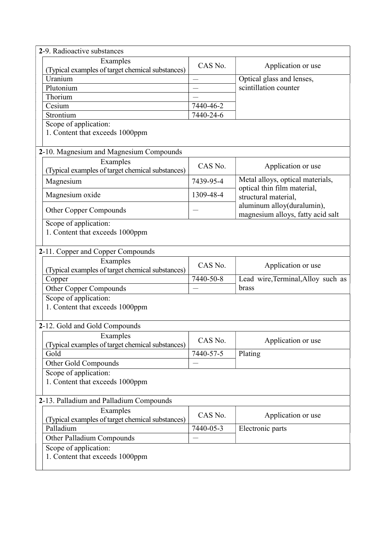| 2-9. Radioactive substances                                  |           |                                                                 |
|--------------------------------------------------------------|-----------|-----------------------------------------------------------------|
| Examples                                                     | CAS No.   |                                                                 |
| (Typical examples of target chemical substances)             |           | Application or use                                              |
| Uranium                                                      |           | Optical glass and lenses,                                       |
| Plutonium                                                    |           | scintillation counter                                           |
| Thorium                                                      |           |                                                                 |
| Cesium                                                       | 7440-46-2 |                                                                 |
| Strontium                                                    | 7440-24-6 |                                                                 |
| Scope of application:                                        |           |                                                                 |
| 1. Content that exceeds 1000ppm                              |           |                                                                 |
| 2-10. Magnesium and Magnesium Compounds                      |           |                                                                 |
| Examples                                                     |           |                                                                 |
| (Typical examples of target chemical substances)             | CAS No.   | Application or use                                              |
| Magnesium                                                    | 7439-95-4 | Metal alloys, optical materials,                                |
| Magnesium oxide                                              | 1309-48-4 | optical thin film material,<br>structural material,             |
| Other Copper Compounds                                       |           | aluminum alloy(duralumin),<br>magnesium alloys, fatty acid salt |
|                                                              |           |                                                                 |
| Scope of application:<br>1. Content that exceeds 1000ppm     |           |                                                                 |
|                                                              |           |                                                                 |
|                                                              |           |                                                                 |
| 2-11. Copper and Copper Compounds                            |           |                                                                 |
| Examples<br>(Typical examples of target chemical substances) | CAS No.   | Application or use                                              |
| Copper                                                       | 7440-50-8 | Lead wire, Terminal, Alloy such as                              |
|                                                              |           | brass                                                           |
| Other Copper Compounds                                       |           |                                                                 |
| Scope of application:                                        |           |                                                                 |
| 1. Content that exceeds 1000ppm                              |           |                                                                 |
|                                                              |           |                                                                 |
| 2-12. Gold and Gold Compounds                                |           |                                                                 |
| Examples<br>(Typical examples of target chemical substances) | CAS No.   | Application or use                                              |
| Gold                                                         | 7440-57-5 | Plating                                                         |
| Other Gold Compounds                                         |           |                                                                 |
| Scope of application:                                        |           |                                                                 |
| 1. Content that exceeds 1000ppm                              |           |                                                                 |
|                                                              |           |                                                                 |
| 2-13. Palladium and Palladium Compounds                      |           |                                                                 |
| Examples                                                     | CAS No.   |                                                                 |
| (Typical examples of target chemical substances)             |           | Application or use                                              |
| Palladium                                                    | 7440-05-3 | Electronic parts                                                |
| Other Palladium Compounds                                    |           |                                                                 |
| Scope of application:                                        |           |                                                                 |
| 1. Content that exceeds 1000ppm                              |           |                                                                 |
|                                                              |           |                                                                 |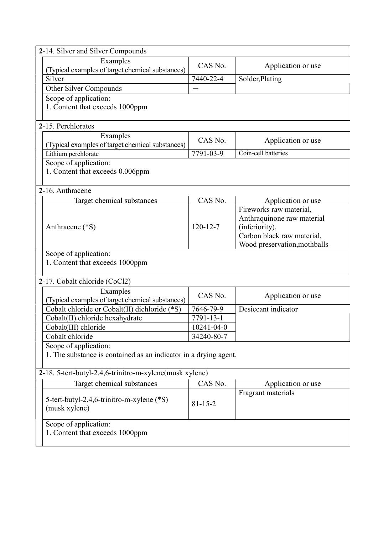| 2-14. Silver and Silver Compounds                                |                  |                              |  |  |  |
|------------------------------------------------------------------|------------------|------------------------------|--|--|--|
| Examples                                                         | CAS No.          |                              |  |  |  |
| (Typical examples of target chemical substances)                 |                  | Application or use           |  |  |  |
| Silver                                                           | 7440-22-4        | Solder, Plating              |  |  |  |
| Other Silver Compounds                                           |                  |                              |  |  |  |
| Scope of application:                                            |                  |                              |  |  |  |
| 1. Content that exceeds 1000ppm                                  |                  |                              |  |  |  |
|                                                                  |                  |                              |  |  |  |
| 2-15. Perchlorates                                               |                  |                              |  |  |  |
| Examples                                                         | CAS No.          | Application or use           |  |  |  |
| (Typical examples of target chemical substances)                 |                  |                              |  |  |  |
| Lithium perchlorate                                              | 7791-03-9        | Coin-cell batteries          |  |  |  |
| Scope of application:                                            |                  |                              |  |  |  |
| 1. Content that exceeds 0.006ppm                                 |                  |                              |  |  |  |
|                                                                  |                  |                              |  |  |  |
| 2-16. Anthracene                                                 |                  |                              |  |  |  |
| Target chemical substances                                       | CAS No.          | Application or use           |  |  |  |
|                                                                  |                  | Fireworks raw material,      |  |  |  |
|                                                                  |                  | Anthraquinone raw material   |  |  |  |
| Anthracene (*S)                                                  | $120 - 12 - 7$   | (inferiority),               |  |  |  |
|                                                                  |                  | Carbon black raw material,   |  |  |  |
| Scope of application:                                            |                  | Wood preservation, mothballs |  |  |  |
| 1. Content that exceeds 1000ppm                                  |                  |                              |  |  |  |
|                                                                  |                  |                              |  |  |  |
| 2-17. Cobalt chloride (CoCl2)                                    |                  |                              |  |  |  |
| Examples                                                         |                  |                              |  |  |  |
| (Typical examples of target chemical substances)                 | CAS No.          | Application or use           |  |  |  |
| Cobalt chloride or Cobalt(II) dichloride (*S)                    | 7646-79-9        | Desiccant indicator          |  |  |  |
| Cobalt(II) chloride hexahydrate                                  | 7791-13-1        |                              |  |  |  |
| Cobalt(III) chloride                                             | $10241 - 04 - 0$ |                              |  |  |  |
| Cobalt chloride                                                  | 34240-80-7       |                              |  |  |  |
| Scope of application:                                            |                  |                              |  |  |  |
| 1. The substance is contained as an indicator in a drying agent. |                  |                              |  |  |  |
|                                                                  |                  |                              |  |  |  |
| 2-18. 5-tert-butyl-2,4,6-trinitro-m-xylene(musk xylene)          |                  |                              |  |  |  |
| Target chemical substances                                       | CAS No.          | Application or use           |  |  |  |
|                                                                  |                  | Fragrant materials           |  |  |  |
| 5-tert-butyl-2,4,6-trinitro-m-xylene (*S)                        | $81 - 15 - 2$    |                              |  |  |  |
| (musk xylene)                                                    |                  |                              |  |  |  |
| Scope of application:                                            |                  |                              |  |  |  |
| 1. Content that exceeds 1000ppm                                  |                  |                              |  |  |  |
|                                                                  |                  |                              |  |  |  |
|                                                                  |                  |                              |  |  |  |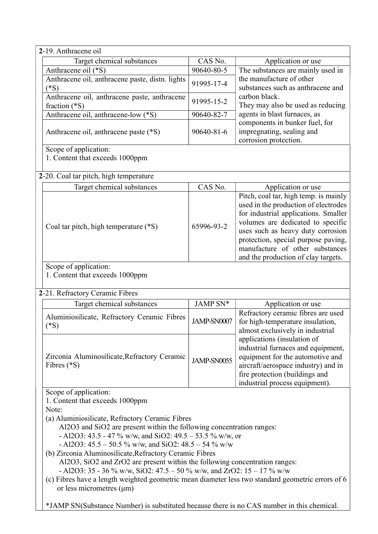| 2-19. Anthracene oil                                                                                                                                                                                                                                                                                                                                                                                                                                                                                                                                                                                                                                                                                                                                                            |            |                                                                                                                                                                                                                                                                                                                  |  |  |
|---------------------------------------------------------------------------------------------------------------------------------------------------------------------------------------------------------------------------------------------------------------------------------------------------------------------------------------------------------------------------------------------------------------------------------------------------------------------------------------------------------------------------------------------------------------------------------------------------------------------------------------------------------------------------------------------------------------------------------------------------------------------------------|------------|------------------------------------------------------------------------------------------------------------------------------------------------------------------------------------------------------------------------------------------------------------------------------------------------------------------|--|--|
| Target chemical substances                                                                                                                                                                                                                                                                                                                                                                                                                                                                                                                                                                                                                                                                                                                                                      | CAS No.    | Application or use                                                                                                                                                                                                                                                                                               |  |  |
| Anthracene oil (*S)                                                                                                                                                                                                                                                                                                                                                                                                                                                                                                                                                                                                                                                                                                                                                             | 90640-80-5 | The substances are mainly used in                                                                                                                                                                                                                                                                                |  |  |
| Anthracene oil, anthracene paste, distn. lights<br>$(^*S)$                                                                                                                                                                                                                                                                                                                                                                                                                                                                                                                                                                                                                                                                                                                      | 91995-17-4 | the manufacture of other<br>substances such as anthracene and                                                                                                                                                                                                                                                    |  |  |
| Anthracene oil, anthracene paste, anthracene<br>fraction $(*S)$                                                                                                                                                                                                                                                                                                                                                                                                                                                                                                                                                                                                                                                                                                                 | 91995-15-2 | carbon black.<br>They may also be used as reducing                                                                                                                                                                                                                                                               |  |  |
| Anthracene oil, anthracene-low (*S)                                                                                                                                                                                                                                                                                                                                                                                                                                                                                                                                                                                                                                                                                                                                             | 90640-82-7 | agents in blast furnaces, as                                                                                                                                                                                                                                                                                     |  |  |
| Anthracene oil, anthracene paste (*S)                                                                                                                                                                                                                                                                                                                                                                                                                                                                                                                                                                                                                                                                                                                                           | 90640-81-6 | components in bunker fuel, for<br>impregnating, sealing and<br>corrosion protection.                                                                                                                                                                                                                             |  |  |
| Scope of application:<br>1. Content that exceeds 1000ppm                                                                                                                                                                                                                                                                                                                                                                                                                                                                                                                                                                                                                                                                                                                        |            |                                                                                                                                                                                                                                                                                                                  |  |  |
| 2-20. Coal tar pitch, high temperature                                                                                                                                                                                                                                                                                                                                                                                                                                                                                                                                                                                                                                                                                                                                          |            |                                                                                                                                                                                                                                                                                                                  |  |  |
| Target chemical substances                                                                                                                                                                                                                                                                                                                                                                                                                                                                                                                                                                                                                                                                                                                                                      | CAS No.    | Application or use                                                                                                                                                                                                                                                                                               |  |  |
| Coal tar pitch, high temperature (*S)                                                                                                                                                                                                                                                                                                                                                                                                                                                                                                                                                                                                                                                                                                                                           | 65996-93-2 | Pitch, coal tar, high temp. is mainly<br>used in the production of electrodes<br>for industrial applications. Smaller<br>volumes are dedicated to specific<br>uses such as heavy duty corrosion<br>protection, special purpose paving,<br>manufacture of other substances<br>and the production of clay targets. |  |  |
| Scope of application:<br>1. Content that exceeds 1000ppm<br>2-21. Refractory Ceramic Fibres                                                                                                                                                                                                                                                                                                                                                                                                                                                                                                                                                                                                                                                                                     |            |                                                                                                                                                                                                                                                                                                                  |  |  |
| Target chemical substances                                                                                                                                                                                                                                                                                                                                                                                                                                                                                                                                                                                                                                                                                                                                                      | JAMP SN*   | Application or use                                                                                                                                                                                                                                                                                               |  |  |
| Refractory ceramic fibres are used<br>Aluminiosilicate, Refractory Ceramic Fibres<br>JAMP-SN0007<br>for high-temperature insulation,<br>$(*S)$<br>almost exclusively in industrial                                                                                                                                                                                                                                                                                                                                                                                                                                                                                                                                                                                              |            |                                                                                                                                                                                                                                                                                                                  |  |  |
| applications (insulation of<br>industrial furnaces and equipment,<br>Zirconia Aluminosilicate, Refractory Ceramic<br>equipment for the automotive and<br>JAMP-SN0055<br>Fibres $(*S)$<br>aircraft/aerospace industry) and in<br>fire protection (buildings and<br>industrial process equipment).                                                                                                                                                                                                                                                                                                                                                                                                                                                                                |            |                                                                                                                                                                                                                                                                                                                  |  |  |
| Scope of application:<br>1. Content that exceeds 1000ppm<br>Note:<br>(a) Aluminiosilicate, Refractory Ceramic Fibres<br>Al2O3 and SiO2 are present within the following concentration ranges:<br>- Al2O3: 43.5 - 47 % w/w, and SiO2: 49.5 - 53.5 % w/w, or<br>- Al2O3: $45.5 - 50.5$ % w/w, and SiO2: $48.5 - 54$ % w/w<br>(b) Zirconia Aluminosilicate, Refractory Ceramic Fibres<br>Al2O3, SiO2 and ZrO2 are present within the following concentration ranges:<br>- Al2O3: 35 - 36 % w/w, SiO2: 47.5 – 50 % w/w, and ZrO2: 15 – 17 % w/w<br>(c) Fibres have a length weighted geometric mean diameter less two standard geometric errors of 6<br>or less micrometres $(\mu m)$<br>*JAMP SN(Substance Number) is substituted because there is no CAS number in this chemical. |            |                                                                                                                                                                                                                                                                                                                  |  |  |
|                                                                                                                                                                                                                                                                                                                                                                                                                                                                                                                                                                                                                                                                                                                                                                                 |            |                                                                                                                                                                                                                                                                                                                  |  |  |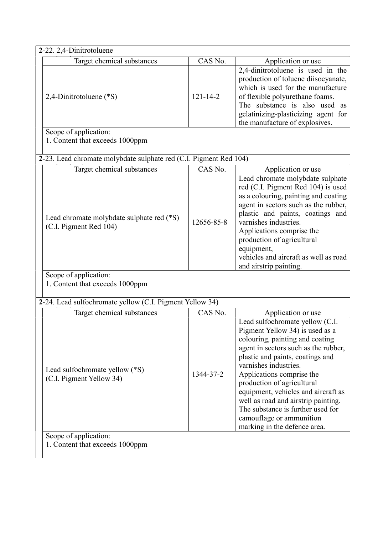| 2-22. 2,4-Dinitrotoluene                                            |                |                                                                                                                                                                                                                                                                                                                                                                                                                                                      |
|---------------------------------------------------------------------|----------------|------------------------------------------------------------------------------------------------------------------------------------------------------------------------------------------------------------------------------------------------------------------------------------------------------------------------------------------------------------------------------------------------------------------------------------------------------|
| Target chemical substances                                          | CAS No.        | Application or use                                                                                                                                                                                                                                                                                                                                                                                                                                   |
| 2,4-Dinitrotoluene (*S)                                             | $121 - 14 - 2$ | 2,4-dinitrotoluene is used in the<br>production of toluene diisocyanate,<br>which is used for the manufacture<br>of flexible polyurethane foams.<br>The substance is also used as<br>gelatinizing-plasticizing agent for<br>the manufacture of explosives.                                                                                                                                                                                           |
| Scope of application:<br>1. Content that exceeds 1000ppm            |                |                                                                                                                                                                                                                                                                                                                                                                                                                                                      |
| 2-23. Lead chromate molybdate sulphate red (C.I. Pigment Red 104)   |                |                                                                                                                                                                                                                                                                                                                                                                                                                                                      |
| Target chemical substances                                          | CAS No.        | Application or use                                                                                                                                                                                                                                                                                                                                                                                                                                   |
| Lead chromate molybdate sulphate red (*S)<br>(C.I. Pigment Red 104) | 12656-85-8     | Lead chromate molybdate sulphate<br>red (C.I. Pigment Red 104) is used<br>as a colouring, painting and coating<br>agent in sectors such as the rubber,<br>plastic and paints, coatings and<br>varnishes industries.<br>Applications comprise the<br>production of agricultural<br>equipment,<br>vehicles and aircraft as well as road<br>and airstrip painting.                                                                                      |
| Scope of application:<br>1. Content that exceeds 1000ppm            |                |                                                                                                                                                                                                                                                                                                                                                                                                                                                      |
| 2-24. Lead sulfochromate yellow (C.I. Pigment Yellow 34)            |                |                                                                                                                                                                                                                                                                                                                                                                                                                                                      |
| Target chemical substances                                          | CAS No.        | Application or use                                                                                                                                                                                                                                                                                                                                                                                                                                   |
| Lead sulfochromate yellow (*S)<br>(C.I. Pigment Yellow 34)          | 1344-37-2      | Lead sulfochromate yellow (C.I.<br>Pigment Yellow 34) is used as a<br>colouring, painting and coating<br>agent in sectors such as the rubber,<br>plastic and paints, coatings and<br>varnishes industries.<br>Applications comprise the<br>production of agricultural<br>equipment, vehicles and aircraft as<br>well as road and airstrip painting.<br>The substance is further used for<br>camouflage or ammunition<br>marking in the defence area. |
| Scope of application:<br>1. Content that exceeds 1000ppm            |                |                                                                                                                                                                                                                                                                                                                                                                                                                                                      |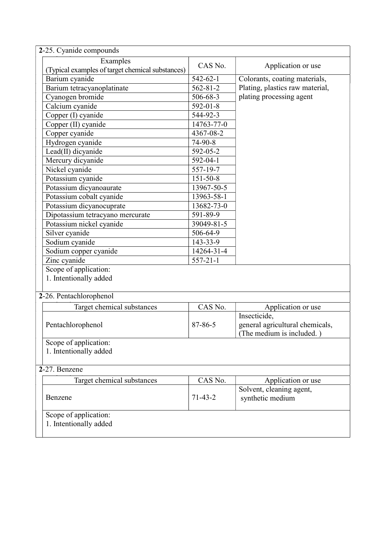| 2-25. Cyanide compounds                          |                |                                 |  |  |  |  |
|--------------------------------------------------|----------------|---------------------------------|--|--|--|--|
| Examples                                         |                |                                 |  |  |  |  |
| (Typical examples of target chemical substances) | CAS No.        | Application or use              |  |  |  |  |
| Barium cyanide                                   | $542 - 62 - 1$ | Colorants, coating materials,   |  |  |  |  |
| Barium tetracyanoplatinate                       | $562 - 81 - 2$ | Plating, plastics raw material, |  |  |  |  |
| Cyanogen bromide                                 | 506-68-3       | plating processing agent        |  |  |  |  |
| Calcium cyanide                                  | $592 - 01 - 8$ |                                 |  |  |  |  |
| Copper (I) cyanide                               | 544-92-3       |                                 |  |  |  |  |
| Copper (II) cyanide                              | 14763-77-0     |                                 |  |  |  |  |
| Copper cyanide                                   | 4367-08-2      |                                 |  |  |  |  |
| Hydrogen cyanide                                 | $74-90-8$      |                                 |  |  |  |  |
| Lead(II) dicyanide                               | 592-05-2       |                                 |  |  |  |  |
| Mercury dicyanide                                | 592-04-1       |                                 |  |  |  |  |
| Nickel cyanide                                   | 557-19-7       |                                 |  |  |  |  |
| Potassium cyanide                                | $151 - 50 - 8$ |                                 |  |  |  |  |
| Potassium dicyanoaurate                          | 13967-50-5     |                                 |  |  |  |  |
| Potassium cobalt cyanide                         | 13963-58-1     |                                 |  |  |  |  |
| Potassium dicyanocuprate                         | 13682-73-0     |                                 |  |  |  |  |
| Dipotassium tetracyano mercurate                 | 591-89-9       |                                 |  |  |  |  |
| Potassium nickel cyanide                         | 39049-81-5     |                                 |  |  |  |  |
| Silver cyanide                                   | 506-64-9       |                                 |  |  |  |  |
| Sodium cyanide                                   | 143-33-9       |                                 |  |  |  |  |
| Sodium copper cyanide                            | 14264-31-4     |                                 |  |  |  |  |
| Zinc cyanide                                     | $557 - 21 - 1$ |                                 |  |  |  |  |
| Scope of application:                            |                |                                 |  |  |  |  |
| 1. Intentionally added                           |                |                                 |  |  |  |  |
|                                                  |                |                                 |  |  |  |  |
| 2-26. Pentachlorophenol                          |                |                                 |  |  |  |  |
| Target chemical substances                       | CAS No.        | Application or use              |  |  |  |  |
|                                                  |                | Insecticide,                    |  |  |  |  |
| Pentachlorophenol                                | $87 - 86 - 5$  | general agricultural chemicals, |  |  |  |  |
|                                                  |                | (The medium is included.)       |  |  |  |  |
| Scope of application:                            |                |                                 |  |  |  |  |
| 1. Intentionally added                           |                |                                 |  |  |  |  |
|                                                  |                |                                 |  |  |  |  |
| 2-27. Benzene                                    |                |                                 |  |  |  |  |
| Target chemical substances                       | CAS No.        | Application or use              |  |  |  |  |
|                                                  |                | Solvent, cleaning agent,        |  |  |  |  |
| Benzene                                          | $71 - 43 - 2$  | synthetic medium                |  |  |  |  |
|                                                  |                |                                 |  |  |  |  |
| Scope of application:                            |                |                                 |  |  |  |  |
| 1. Intentionally added                           |                |                                 |  |  |  |  |
|                                                  |                |                                 |  |  |  |  |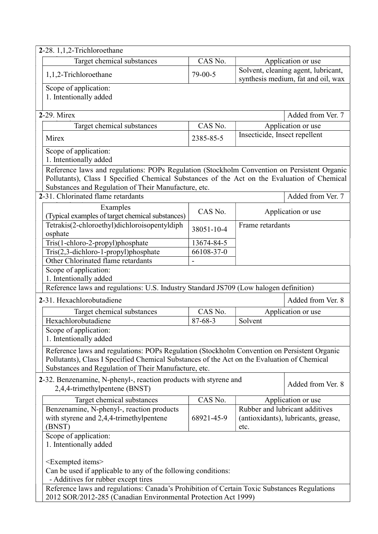| 2-28. 1,1,2-Trichloroethane                                                                                                                                                                                                                        |                       |                                                                               |                    |  |  |
|----------------------------------------------------------------------------------------------------------------------------------------------------------------------------------------------------------------------------------------------------|-----------------------|-------------------------------------------------------------------------------|--------------------|--|--|
| Target chemical substances                                                                                                                                                                                                                         | CAS No.               |                                                                               | Application or use |  |  |
| 1,1,2-Trichloroethane                                                                                                                                                                                                                              | $79-00-5$             | Solvent, cleaning agent, lubricant,<br>synthesis medium, fat and oil, wax     |                    |  |  |
| Scope of application:<br>1. Intentionally added                                                                                                                                                                                                    |                       |                                                                               |                    |  |  |
| 2-29. Mirex                                                                                                                                                                                                                                        |                       |                                                                               | Added from Ver. 7  |  |  |
| Target chemical substances                                                                                                                                                                                                                         | CAS No.               |                                                                               | Application or use |  |  |
| Mirex                                                                                                                                                                                                                                              | 2385-85-5             | Insecticide, Insect repellent                                                 |                    |  |  |
| Scope of application:<br>1. Intentionally added                                                                                                                                                                                                    |                       |                                                                               |                    |  |  |
| Reference laws and regulations: POPs Regulation (Stockholm Convention on Persistent Organic<br>Pollutants), Class I Specified Chemical Substances of the Act on the Evaluation of Chemical<br>Substances and Regulation of Their Manufacture, etc. |                       |                                                                               |                    |  |  |
| 2-31. Chlorinated flame retardants                                                                                                                                                                                                                 |                       |                                                                               | Added from Ver. 7  |  |  |
| Examples<br>(Typical examples of target chemical substances)                                                                                                                                                                                       | CAS No.               |                                                                               | Application or use |  |  |
| Tetrakis(2-chloroethyl)dichloroisopentyldiph<br>osphate                                                                                                                                                                                            | 38051-10-4            | Frame retardants                                                              |                    |  |  |
| Tris(1-chloro-2-propyl)phosphate                                                                                                                                                                                                                   | 13674-84-5            |                                                                               |                    |  |  |
| Tris(2,3-dichloro-1-propyl)phosphate                                                                                                                                                                                                               | 66108-37-0            |                                                                               |                    |  |  |
| Other Chlorinated flame retardants                                                                                                                                                                                                                 |                       |                                                                               |                    |  |  |
| Scope of application:<br>1. Intentionally added                                                                                                                                                                                                    |                       |                                                                               |                    |  |  |
| Reference laws and regulations: U.S. Industry Standard JS709 (Low halogen definition)                                                                                                                                                              |                       |                                                                               |                    |  |  |
| 2-31. Hexachlorobutadiene                                                                                                                                                                                                                          |                       |                                                                               | Added from Ver. 8  |  |  |
| Target chemical substances                                                                                                                                                                                                                         | $CAS \overline{No}$ . |                                                                               | Application or use |  |  |
| Hexachlorobutadiene<br>Solvent<br>$87 - 68 - 3$                                                                                                                                                                                                    |                       |                                                                               |                    |  |  |
| Scope of application:<br>1. Intentionally added                                                                                                                                                                                                    |                       |                                                                               |                    |  |  |
| Reference laws and regulations: POPs Regulation (Stockholm Convention on Persistent Organic<br>Pollutants), Class I Specified Chemical Substances of the Act on the Evaluation of Chemical<br>Substances and Regulation of Their Manufacture, etc. |                       |                                                                               |                    |  |  |
| 2-32. Benzenamine, N-phenyl-, reaction products with styrene and<br>Added from Ver. 8<br>2,4,4-trimethylpentene (BNST)                                                                                                                             |                       |                                                                               |                    |  |  |
| CAS No.<br>Target chemical substances<br>Application or use                                                                                                                                                                                        |                       |                                                                               |                    |  |  |
| Benzenamine, N-phenyl-, reaction products<br>with styrene and 2,4,4-trimethylpentene<br>(BNST)                                                                                                                                                     | 68921-45-9            | Rubber and lubricant additives<br>(antioxidants), lubricants, grease,<br>etc. |                    |  |  |
| Scope of application:<br>1. Intentionally added                                                                                                                                                                                                    |                       |                                                                               |                    |  |  |
| $\leq$ Exempted items $>$<br>Can be used if applicable to any of the following conditions:<br>- Additives for rubber except tires<br>Reference laws and regulations: Canada's Prohibition of Certain Toxic Substances Regulations                  |                       |                                                                               |                    |  |  |
| 2012 SOR/2012-285 (Canadian Environmental Protection Act 1999)                                                                                                                                                                                     |                       |                                                                               |                    |  |  |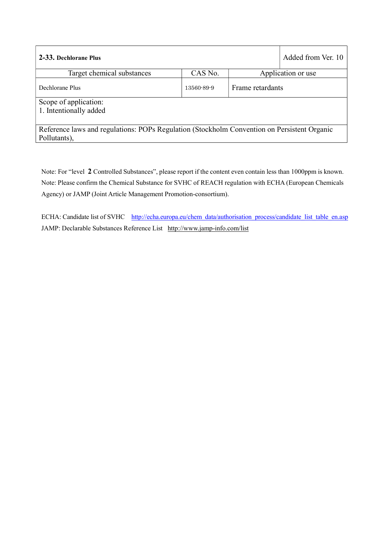| 2-33. Dechlorane Plus                                                                                       |            |                  | Added from Ver. 10 |  |
|-------------------------------------------------------------------------------------------------------------|------------|------------------|--------------------|--|
| Target chemical substances                                                                                  | CAS No.    |                  | Application or use |  |
| Dechlorane Plus                                                                                             | 13560-89-9 | Frame retardants |                    |  |
| Scope of application:<br>1. Intentionally added                                                             |            |                  |                    |  |
| Reference laws and regulations: POPs Regulation (Stockholm Convention on Persistent Organic<br>Pollutants), |            |                  |                    |  |

Note: For "level 2 Controlled Substances", please report if the content even contain less than 1000ppm is known. Note: Please confirm the Chemical Substance for SVHC of REACH regulation with ECHA (European Chemicals Agency) or JAMP (Joint Article Management Promotion-consortium).

ECHA: Candidate list of SVHC http://echa.europa.eu/chem\_data/authorisation\_process/candidate\_list\_table\_en.asp JAMP: Declarable Substances Reference List http://www.jamp-info.com/list